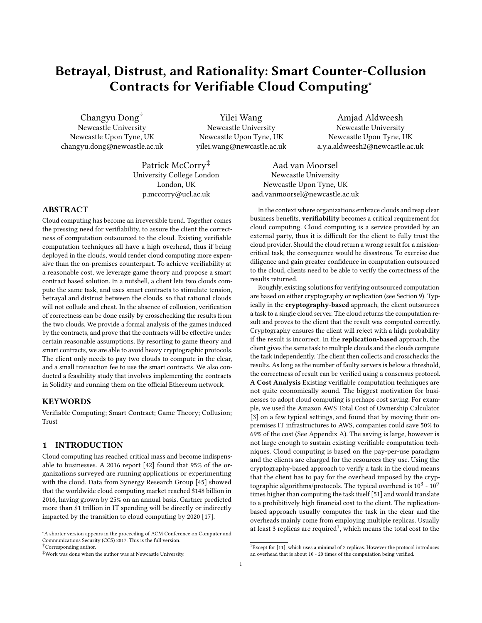# Betrayal, Distrust, and Rationality: Smart Counter-Collusion Contracts for Verifiable Cloud Computing<sup>∗</sup>

Changyu Dong† Newcastle University Newcastle Upon Tyne, UK changyu.dong@newcastle.ac.uk

Yilei Wang Newcastle University Newcastle Upon Tyne, UK yilei.wang@newcastle.ac.uk

Amjad Aldweesh Newcastle University Newcastle Upon Tyne, UK a.y.a.aldweesh2@newcastle.ac.uk

Patrick McCorry<sup>‡</sup> University College London London, UK p.mccorry@ucl.ac.uk

## ABSTRACT

Cloud computing has become an irreversible trend. Together comes the pressing need for verifiability, to assure the client the correctness of computation outsourced to the cloud. Existing verifiable computation techniques all have a high overhead, thus if being deployed in the clouds, would render cloud computing more expensive than the on-premises counterpart. To achieve verifiability at a reasonable cost, we leverage game theory and propose a smart contract based solution. In a nutshell, a client lets two clouds compute the same task, and uses smart contracts to stimulate tension, betrayal and distrust between the clouds, so that rational clouds will not collude and cheat. In the absence of collusion, verification of correctness can be done easily by crosschecking the results from the two clouds. We provide a formal analysis of the games induced by the contracts, and prove that the contracts will be effective under certain reasonable assumptions. By resorting to game theory and smart contracts, we are able to avoid heavy cryptographic protocols. The client only needs to pay two clouds to compute in the clear, and a small transaction fee to use the smart contracts. We also conducted a feasibility study that involves implementing the contracts in Solidity and running them on the official Ethereum network.

### **KEYWORDS**

Verifiable Computing; Smart Contract; Game Theory; Collusion; Trust

# 1 INTRODUCTION

Cloud computing has reached critical mass and become indispensable to businesses. A 2016 report [\[42\]](#page-13-0) found that 95% of the organizations surveyed are running applications or experimenting with the cloud. Data from Synergy Research Group [\[45\]](#page-13-1) showed that the worldwide cloud computing market reached \$148 billion in 2016, having grown by 25% on an annual basis. Gartner predicted more than \$1 trillion in IT spending will be directly or indirectly impacted by the transition to cloud computing by 2020 [\[17\]](#page-13-2).

Aad van Moorsel Newcastle University Newcastle Upon Tyne, UK aad.vanmoorsel@newcastle.ac.uk

In the context where organizations embrace clouds and reap clear business benefits, verifiability becomes a critical requirement for cloud computing. Cloud computing is a service provided by an external party, thus it is difficult for the client to fully trust the cloud provider. Should the cloud return a wrong result for a missioncritical task, the consequence would be disastrous. To exercise due diligence and gain greater confidence in computation outsourced to the cloud, clients need to be able to verify the correctness of the results returned.

Roughly, existing solutions for verifying outsourced computation are based on either cryptography or replication (see Section [9\)](#page-12-0). Typically in the cryptography-based approach, the client outsources a task to a single cloud server. The cloud returns the computation result and proves to the client that the result was computed correctly. Cryptography ensures the client will reject with a high probability if the result is incorrect. In the replication-based approach, the client gives the same task to multiple clouds and the clouds compute the task independently. The client then collects and crosschecks the results. As long as the number of faulty servers is below a threshold, the correctness of result can be verified using a consensus protocol. A Cost Analysis Existing verifiable computation techniques are not quite economically sound. The biggest motivation for businesses to adopt cloud computing is perhaps cost saving. For example, we used the Amazon AWS Total Cost of Ownership Calculator [\[3\]](#page-13-3) on a few typical settings, and found that by moving their onpremises IT infrastructures to AWS, companies could save 50% to 69% of the cost (See Appendix [A\)](#page-14-0). The saving is large, however is not large enough to sustain existing verifiable computation techniques. Cloud computing is based on the pay-per-use paradigm and the clients are charged for the resources they use. Using the cryptography-based approach to verify a task in the cloud means that the client has to pay for the overhead imposed by the cryptographic algorithms/protocols. The typical overhead is  $10^3 \cdot 10^9$ times higher than computing the task itself [\[51\]](#page-13-4) and would translate to a prohibitively high financial cost to the client. The replicationbased approach usually computes the task in the clear and the overheads mainly come from employing multiple replicas. Usually at least 3 replicas are required<sup>[1](#page-0-0)</sup>, which means the total cost to the

<sup>∗</sup>A shorter version appears in the proceeding of ACM Conference on Computer and Communications Security (CCS) 2017. This is the full version. †Corresponding author.

<sup>‡</sup>Work was done when the author was at Newcastle University.

<span id="page-0-0"></span> $^1$  Except for [\[11\]](#page-13-5), which uses a minimal of 2 replicas. However the protocol introduces an overhead that is about 10 - 20 times of the computation being verified.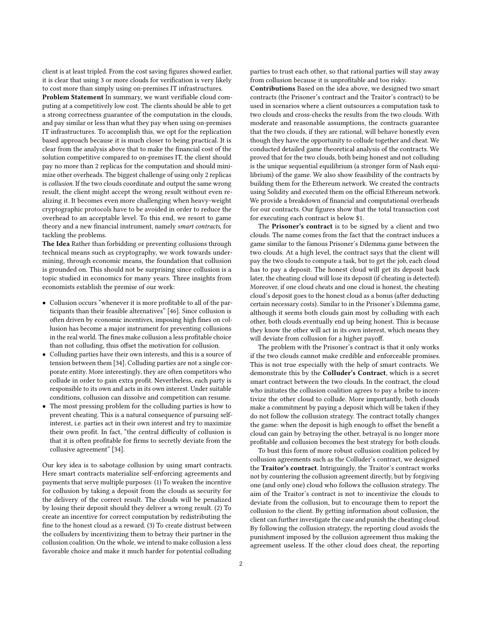client is at least tripled. From the cost saving figures showed earlier, it is clear that using 3 or more clouds for verification is very likely to cost more than simply using on-premises IT infrastructures.

Problem Statement In summary, we want verifiable cloud computing at a competitively low cost. The clients should be able to get a strong correctness guarantee of the computation in the clouds, and pay similar or less than what they pay when using on-premises IT infrastructures. To accomplish this, we opt for the replication based approach because it is much closer to being practical. It is clear from the analysis above that to make the financial cost of the solution competitive compared to on-premises IT, the client should pay no more than 2 replicas for the computation and should minimize other overheads. The biggest challenge of using only 2 replicas is collusion. If the two clouds coordinate and output the same wrong result, the client might accept the wrong result without even realizing it. It becomes even more challenging when heavy-weight cryptographic protocols have to be avoided in order to reduce the overhead to an acceptable level. To this end, we resort to game theory and a new financial instrument, namely smart contracts, for tackling the problems.

The Idea Rather than forbidding or preventing collusions through technical means such as cryptography, we work towards undermining, through economic means, the foundation that collusion is grounded on. This should not be surprising since collusion is a topic studied in economics for many years. Three insights from economists establish the premise of our work:

- Collusion occurs "whenever it is more profitable to all of the participants than their feasible alternatives" [\[46\]](#page-13-6). Since collusion is often driven by economic incentives, imposing high fines on collusion has become a major instrument for preventing collusions in the real world. The fines make collusion a less profitable choice than not colluding, thus offset the motivation for collusion.
- Colluding parties have their own interests, and this is a source of tension between them [\[34\]](#page-13-7). Colluding parties are not a single corporate entity. More interestingly, they are often competitors who collude in order to gain extra profit. Nevertheless, each party is responsible to its own and acts in its own interest. Under suitable conditions, collusion can dissolve and competition can resume.
- The most pressing problem for the colluding parties is how to prevent cheating. This is a natural consequence of pursuing selfinterest, i.e. parties act in their own interest and try to maximize their own profit. In fact, "the central difficulty of collusion is that it is often profitable for firms to secretly deviate from the collusive agreement" [\[34\]](#page-13-7).

Our key idea is to sabotage collusion by using smart contracts. Here smart contracts materialize self-enforcing agreements and payments that serve multiple purposes: (1) To weaken the incentive for collusion by taking a deposit from the clouds as security for the delivery of the correct result. The clouds will be penalized by losing their deposit should they deliver a wrong result. (2) To create an incentive for correct computation by redistributing the fine to the honest cloud as a reward. (3) To create distrust between the colluders by incentivizing them to betray their partner in the collusion coalition. On the whole, we intend to make collusion a less favorable choice and make it much harder for potential colluding

parties to trust each other, so that rational parties will stay away from collusion because it is unprofitable and too risky.

Contributions Based on the idea above, we designed two smart contracts (the Prisoner's contract and the Traitor's contract) to be used in scenarios where a client outsources a computation task to two clouds and cross-checks the results from the two clouds. With moderate and reasonable assumptions, the contracts guarantee that the two clouds, if they are rational, will behave honestly even though they have the opportunity to collude together and cheat. We conducted detailed game theoretical analysis of the contracts. We proved that for the two clouds, both being honest and not colluding is the unique sequential equilibrium (a stronger form of Nash equilibrium) of the game. We also show feasibility of the contracts by building them for the Ethereum network. We created the contracts using Solidity and executed them on the official Ethereum network. We provide a breakdown of financial and computational overheads for our contracts. Our figures show that the total transaction cost for executing each contract is below \$1.

The Prisoner's contract is to be signed by a client and two clouds. The name comes from the fact that the contract induces a game similar to the famous Prisoner's Dilemma game between the two clouds. At a high level, the contract says that the client will pay the two clouds to compute a task, but to get the job, each cloud has to pay a deposit. The honest cloud will get its deposit back later, the cheating cloud will lose its deposit (if cheating is detected). Moreover, if one cloud cheats and one cloud is honest, the cheating cloud's deposit goes to the honest cloud as a bonus (after deducting certain necessary costs). Similar to in the Prisoner's Dilemma game, although it seems both clouds gain most by colluding with each other, both clouds eventually end up being honest. This is because they know the other will act in its own interest, which means they will deviate from collusion for a higher payoff.

The problem with the Prisoner's contract is that it only works if the two clouds cannot make credible and enforceable promises. This is not true especially with the help of smart contracts. We demonstrate this by the Colluder's Contract, which is a secret smart contract between the two clouds. In the contract, the cloud who initiates the collusion coalition agrees to pay a bribe to incentivize the other cloud to collude. More importantly, both clouds make a commitment by paying a deposit which will be taken if they do not follow the collusion strategy. The contract totally changes the game: when the deposit is high enough to offset the benefit a cloud can gain by betraying the other, betrayal is no longer more profitable and collusion becomes the best strategy for both clouds.

To bust this form of more robust collusion coalition policed by collusion agreements such as the Colluder's contract, we designed the Traitor's contract. Intriguingly, the Traitor's contract works not by countering the collusion agreement directly, but by forgiving one (and only one) cloud who follows the collusion strategy. The aim of the Traitor's contract is not to incentivize the clouds to deviate from the collusion, but to encourage them to report the collusion to the client. By getting information about collusion, the client can further investigate the case and punish the cheating cloud. By following the collusion strategy, the reporting cloud avoids the punishment imposed by the collusion agreement thus making the agreement useless. If the other cloud does cheat, the reporting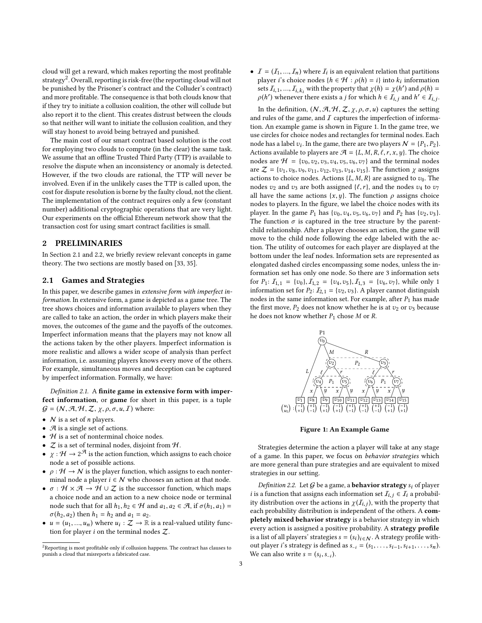cloud will get a reward, which makes reporting the most profitable strategy<sup>[2](#page-2-0)</sup>. Overall, reporting is risk-free (the reporting cloud will not be punished by the Prisoner's contract and the Colluder's contract) and more profitable. The consequence is that both clouds know that if they try to initiate a collusion coalition, the other will collude but also report it to the client. This creates distrust between the clouds so that neither will want to initiate the collusion coalition, and they will stay honest to avoid being betrayed and punished.

The main cost of our smart contract based solution is the cost for employing two clouds to compute (in the clear) the same task. We assume that an offline Trusted Third Party (TTP) is available to resolve the dispute when an inconsistency or anomaly is detected. However, if the two clouds are rational, the TTP will never be involved. Even if in the unlikely cases the TTP is called upon, the cost for dispute resolution is borne by the faulty cloud, not the client. The implementation of the contract requires only a few (constant number) additional cryptographic operations that are very light. Our experiments on the official Ethereum network show that the transaction cost for using smart contract facilities is small.

# 2 PRELIMINARIES

In Section [2.1](#page-2-1) and [2.2,](#page-3-0) we briefly review relevant concepts in game theory. The two sections are mostly based on [\[33,](#page-13-8) [35\]](#page-13-9).

### <span id="page-2-1"></span>2.1 Games and Strategies

In this paper, we describe games in extensive form with imperfect information. In extensive form, a game is depicted as a game tree. The tree shows choices and information available to players when they are called to take an action, the order in which players make their moves, the outcomes of the game and the payoffs of the outcomes. Imperfect information means that the players may not know all the actions taken by the other players. Imperfect information is more realistic and allows a wider scope of analysis than perfect information, i.e. assuming players knows every move of the others. For example, simultaneous moves and deception can be captured by imperfect information. Formally, we have:

Definition 2.1. A finite game in extensive form with imperfect information, or game for short in this paper, is a tuple  $G = (N, \mathcal{A}, \mathcal{H}, \mathcal{Z}, \chi, \rho, \sigma, u, \mathcal{I})$  where:

- $N$  is a set of *n* players.
- $\mathcal A$  is a single set of actions.
- $H$  is a set of nonterminal choice nodes.
- $Z$  is a set of terminal nodes, disjoint from  $H$ .
- $\bullet \; \chi : \mathcal{H} \to 2^{\mathcal{A}}$  is the action function, which assigns to each choice node a set of possible actions.
- $\rho : \mathcal{H} \to \mathcal{N}$  is the player function, which assigns to each nonterminal node a player  $i \in \mathcal{N}$  who chooses an action at that node.
- $\sigma : \mathcal{H} \times \mathcal{A} \to \mathcal{H} \cup \mathcal{I}$  is the successor function, which maps a choice node and an action to a new choice node or terminal node such that for all  $h_1, h_2 \in \mathcal{H}$  and  $a_1, a_2 \in \mathcal{A}$ , if  $\sigma(h_1, a_1) =$  $\sigma(h_2, a_2)$  then  $h_1 = h_2$  and  $a_1 = a_2$ .
- $u = (u_1, ..., u_n)$  where  $u_i : \mathcal{Z} \to \mathbb{R}$  is a real-valued utility function for player *i* on the terminal podes  $Z$ tion for player  $i$  on the terminal nodes  $Z$ .

•  $I = (I_1, ..., I_n)$  where  $I_i$  is an equivalent relation that partitions<br>player is choice nodes  $I_k \in H \cdot o(h) = i$  into k, information player i's choice nodes  $\{h \in \mathcal{H} : \rho(h) = i\}$  into  $k_i$  information<br>sets  $\mathcal{F}_i$   $\mathcal{F}_i$  with the property that  $\nu(h) = \nu(h')$  and  $\rho(h) =$ sets  $I_{i,1},..., I_{i,k_i}$  with the property that  $\chi(h) = \chi(h')$  and  $\rho(h) = \rho(h')$  whenever there exists a *i* for which  $h \in \mathcal{I}$  and  $h' \in \mathcal{I}$ .  $\rho(h')$  whenever there exists a *j* for which  $h \in \overline{I}_{i,j}$  and  $h' \in \overline{I}_{i,j}$ .

In the definition,  $(N, A, H, Z, \chi, \rho, \sigma, u)$  captures the setting and rules of the game, and  $I$  captures the imperfection of information. An example game is shown in Figure [1.](#page-2-2) In the game tree, we use circles for choice nodes and rectangles for terminal nodes. Each node has a label  $v_i$ . In the game, there are two players  $N = \{P_1, P_2\}$ .<br>Actions available to players are  $H = \{I, M, P, \ell, x, y\}$ . The choice Actions available to players are  $\mathcal{A} = \{L, M, R, \ell, r, x, y\}$ . The choice nodes are  $\mathcal{H} = \{v_0, v_2, v_3, v_4, v_5, v_6, v_7\}$  and the terminal nodes are  $\mathcal{Z} = \{v_1, v_8, v_9, v_{11}, v_{12}, v_{13}, v_{14}, v_{15}\}.$  The function  $\gamma$  assigns actions to choice nodes. Actions  $\{L, M, R\}$  are assigned to  $v_0$ . The nodes  $v_2$  and  $v_3$  are both assigned { $\ell$ , r}, and the nodes  $v_4$  to  $v_7$ all have the same actions  $\{x, y\}$ . The function  $\rho$  assigns choice nodes to players. In the figure, we label the choice nodes with its player. In the game  $P_1$  has  $\{v_0, v_4, v_5, v_6, v_7\}$  and  $P_2$  has  $\{v_2, v_3\}$ . The function  $\sigma$  is captured in the tree structure by the parentchild relationship. After a player chooses an action, the game will move to the child node following the edge labeled with the action. The utility of outcomes for each player are displayed at the bottom under the leaf nodes. Information sets are represented as elongated dashed circles encompassing some nodes, unless the information set has only one node. So there are 3 information sets for  $P_1: I_{1,1} = \{v_0\}, I_{1,2} = \{v_4, v_5\}, I_{1,3} = \{v_6, v_7\}$ , while only 1 information set for  $P_2$ :  $\mathcal{I}_{2,1} = \{v_2, v_3\}$ . A player cannot distinguish nodes in the same information set. For example, after  $P_1$  has made the first move,  $P_2$  does not know whether he is at  $v_2$  or  $v_3$  because he does not know whether  $P_1$  chose  $M$  or  $R$ .

<span id="page-2-2"></span>

Figure 1: An Example Game

Strategies determine the action a player will take at any stage of a game. In this paper, we focus on behavior strategies which are more general than pure strategies and are equivalent to mixed strategies in our setting.

Definition 2.2. Let  $G$  be a game, a **behavior strategy**  $s_i$  of player *i* is a function that assigns each information set  $\mathcal{I}_{i,j} \in \mathcal{I}_i$  a probability distribution over the actions in  $\chi(I_{i,j})$ , with the property that each probability distribution is independent of the others. A comeach probability distribution is independent of the others. A completely mixed behavior strategy is a behavior strategy in which every action is assigned a positive probability. A strategy profile is a list of all players' strategies  $s = (s_i)_{i \in \mathbb{N}}$ . A strategy profile with-<br>out player i's strategy is defined as  $s = (s_i - s_i)$ . out player *i*'s strategy is defined as  $s_{-i} = (s_1, \ldots, s_{i-1}, s_{i+1}, \ldots, s_n)$ . We can also write  $s = (s_i, s_{-i})$ .

<span id="page-2-0"></span><sup>2</sup>Reporting is most profitable only if collusion happens. The contract has clauses to punish a cloud that misreports a fabricated case.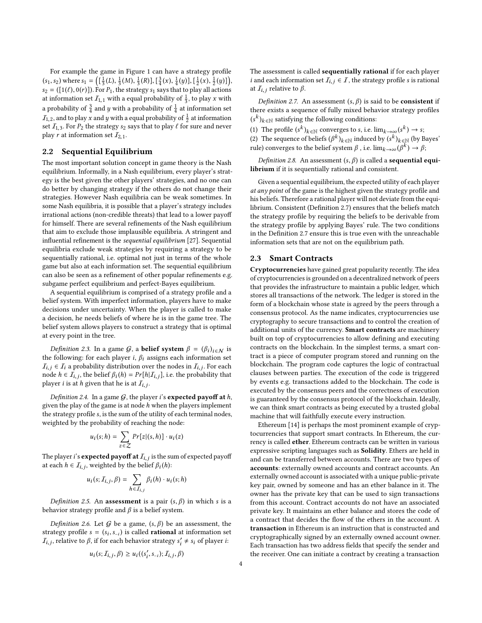For example the game in Figure [1](#page-2-2) can have a strategy profile  $(s_1, s_2)$  where  $s_1 = \left( \left[ \frac{1}{3}(L), \frac{1}{3}(M), \frac{1}{3}(R) \right], \left[ \frac{3}{4}(x), \frac{1}{4}(y) \right], \left[ \frac{1}{2}(x), \frac{1}{2}(y) \right] \right)$ <br> $s_2 = \left( \left[ \frac{1}{3}(L), \frac{1}{2}(M), \frac{1}{3}(R) \right]$  and  $s_1 = \left[ \frac{1}{3}(L), \frac{1}{2}(L), \frac{1}{2}(L) \right]$  $s_2 = ([1(\ell), 0(r)])$ . For  $P_1$ , the strategy  $s_1$  says that to play all actions at information set  $I_{1,1}$  with a equal probability of  $\frac{1}{3}$ , to play x with a probability of  $\frac{3}{4}$  and y with a probability of  $\frac{1}{4}$  at information set  $I_{1,2}$ , and to play x and y with a equal probability of  $\frac{1}{2}$  at information<br>set  $\mathcal{L}_c$ . For P, the strategy second that to play f for sure and power set  $I_{1,3}$ . For  $P_2$  the strategy  $s_2$  says that to play  $\ell$  for sure and never play r at information set  $I_{2,1}$ .

### <span id="page-3-0"></span>2.2 Sequential Equilibrium

The most important solution concept in game theory is the Nash equilibrium. Informally, in a Nash equilibrium, every player's strategy is the best given the other players' strategies, and no one can do better by changing strategy if the others do not change their strategies. However Nash equilibria can be weak sometimes. In some Nash equilibria, it is possible that a player's strategy includes irrational actions (non-credible threats) that lead to a lower payoff for himself. There are several refinements of the Nash equilibrium that aim to exclude those implausible equilibria. A stringent and influential refinement is the sequential equilibrium [\[27\]](#page-13-10). Sequential equilibria exclude weak strategies by requiring a strategy to be sequentially rational, i.e. optimal not just in terms of the whole game but also at each information set. The sequential equilibrium can also be seen as a refinement of other popular refinements e.g. subgame perfect equilibrium and perfect-Bayes equilibrium.

A sequential equilibrium is comprised of a strategy profile and a belief system. With imperfect information, players have to make decisions under uncertainty. When the player is called to make a decision, he needs beliefs of where he is in the game tree. The belief system allows players to construct a strategy that is optimal at every point in the tree.

Definition 2.3. In a game G, a **belief system**  $\beta = (\beta_i)_{i \in \mathbb{N}}$  is<br>a following: for each player *i*.  $\beta$ : assigns each information set the following: for each player i,  $\beta_i$  assigns each information set  $I_{i,j} \in I_i$  a probability distribution over the nodes in  $I_{i,j}$ . For each node  $h \in I_i$ , the helief  $\beta_i(h) = Pr[h|I_i]$ , i.e. the probability that node  $h \in \overline{I}_{i,j}$ , the belief  $\beta_i(h) = Pr[h|\overline{I}_{i,j}]$ , i.e. the probability that player *i* is at *h* given that he is at *L*. player *i* is at *h* given that he is at  $I_{i,j}$ .

Definition 2.4. In a game  $G$ , the player i's **expected payoff at**  $h$ , given the play of the game is at node  $h$  when the players implement the strategy profile s, is the sum of the utility of each terminal nodes, weighted by the probability of reaching the node:

$$
u_i(s; h) = \sum_{z \in \mathcal{Z}} Pr[z|(s, h)] \cdot u_i(z)
$$

The player *i*'s **expected payoff at**  $I_{i,j}$  is the sum of expected payoff at each  $h \in I_{i,j}$  weighted by the holief  $B_i(h)$ . at each  $h \in I_{i,j}$ , weighted by the belief  $\beta_i(h)$ :

$$
u_i(s; \mathcal{I}_{i,j}, \beta) = \sum_{h \in \mathcal{I}_{i,j}} \beta_i(h) \cdot u_i(s; h)
$$

Definition 2.5. An **assessment** is a pair  $(s, \beta)$  in which s is a behavior strategy profile and  $\beta$  is a belief system.

Definition 2.6. Let  $G$  be a game,  $(s, \beta)$  be an assessment, the strategy profile  $s = (s_i, s_{-i})$  is called **rational** at information set  $\mathcal{L}_i$ , relative to  $\beta$  if for each behavior strategy  $s' \neq s$ ; of player is  $I_{i,j}$ , relative to  $\beta$ , if for each behavior strategy  $s'_i \neq s_i$  of player *i*:

$$
u_i(s; \mathcal{I}_{i,j}, \beta) \geq u_i((s'_i, s_{-i}); \mathcal{I}_{i,j}, \beta)
$$

The assessment is called sequentially rational if for each player *i* and each information set  $I_{i,j} \in I$ , the strategy profile *s* is rational at  $I_{i,j}$  relative to  $\beta$ .

<span id="page-3-1"></span>Definition 2.7. An assessment  $(s, \beta)$  is said to be **consistent** if there exists a sequence of fully mixed behavior strategy profiles  $(s^k)_{k \in \mathbb{N}}$  satisfying the following conditions:

- (1) The profile  $(s^k)_{k \in \mathbb{N}}$  converges to s, i.e.  $\lim_{k \to \infty} (s^k) \to s$ ;<br>(2) The sequence of beliefs  $(s^k)$ , s, induced by  $(s^k)$ , s, (by E
- (2) The sequence of beliefs  $(\beta^k)_{k \in \mathbb{N}}$  induced by  $(s^k)_{k \in \mathbb{N}}$  (by Bayes'<br>rule) converges to the belief system  $\beta$ , i.e.  $\lim_{k \to \infty} (\beta^k) \rightarrow \beta$ . rule) converges to the belief system  $\beta$  , i.e.  $\lim_{k\to\infty}(\beta^k)\to\beta;$

Definition 2.8. An assessment  $(s, \beta)$  is called a **sequential equi**librium if it is sequentially rational and consistent.

Given a sequential equilibrium, the expected utility of each player at any point of the game is the highest given the strategy profile and his beliefs. Therefore a rational player will not deviate from the equilibrium. Consistent (Definition [2.7\)](#page-3-1) ensures that the beliefs match the strategy profile by requiring the beliefs to be derivable from the strategy profile by applying Bayes' rule. The two conditions in the Definition [2.7](#page-3-1) ensure this is true even with the unreachable information sets that are not on the equilibrium path.

### 2.3 Smart Contracts

Cryptocurrencies have gained great popularity recently. The idea of cryptocurrencies is grounded on a decentralized network of peers that provides the infrastructure to maintain a public ledger, which stores all transactions of the network. The ledger is stored in the form of a blockchain whose state is agreed by the peers through a consensus protocol. As the name indicates, cryptocurrencies use cryptography to secure transactions and to control the creation of additional units of the currency. Smart contracts are machinery built on top of cryptocurrencies to allow defining and executing contracts on the blockchain. In the simplest terms, a smart contract is a piece of computer program stored and running on the blockchain. The program code captures the logic of contractual clauses between parties. The execution of the code is triggered by events e.g. transactions added to the blockchain. The code is executed by the consensus peers and the correctness of execution is guaranteed by the consensus protocol of the blockchain. Ideally, we can think smart contracts as being executed by a trusted global machine that will faithfully execute every instruction.

Ethereum [\[14\]](#page-13-11) is perhaps the most prominent example of cryptocurrencies that support smart contracts. In Ethereum, the currency is called ether. Ethereum contracts can be written in various expressive scripting languages such as Solidity. Ethers are held in and can be transferred between accounts. There are two types of accounts: externally owned accounts and contract accounts. An externally owned account is associated with a unique public-private key pair, owned by someone and has an ether balance in it. The owner has the private key that can be used to sign transactions from this account. Contract accounts do not have an associated private key. It maintains an ether balance and stores the code of a contract that decides the flow of the ethers in the account. A transaction in Ethereum is an instruction that is constructed and cryptographically signed by an externally owned account owner. Each transaction has two address fields that specify the sender and the receiver. One can initiate a contract by creating a transaction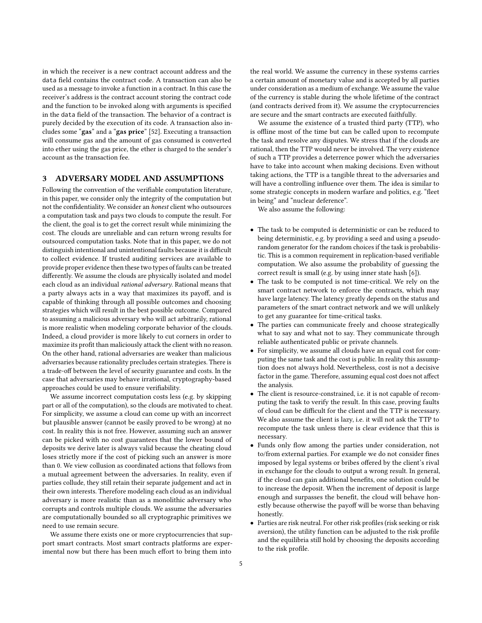in which the receiver is a new contract account address and the data field contains the contract code. A transaction can also be used as a message to invoke a function in a contract. In this case the receiver's address is the contract account storing the contract code and the function to be invoked along with arguments is specified in the data field of the transaction. The behavior of a contract is purely decided by the execution of its code. A transaction also includes some "gas" and a "gas price" [\[52\]](#page-13-12). Executing a transaction will consume gas and the amount of gas consumed is converted into ether using the gas price, the ether is charged to the sender's account as the transaction fee.

### 3 ADVERSARY MODEL AND ASSUMPTIONS

Following the convention of the verifiable computation literature, in this paper, we consider only the integrity of the computation but not the confidentiality. We consider an honest client who outsources a computation task and pays two clouds to compute the result. For the client, the goal is to get the correct result while minimizing the cost. The clouds are unreliable and can return wrong results for outsourced computation tasks. Note that in this paper, we do not distinguish intentional and unintentional faults because it is difficult to collect evidence. If trusted auditing services are available to provide proper evidence then these two types of faults can be treated differently. We assume the clouds are physically isolated and model each cloud as an individual rational adversary. Rational means that a party always acts in a way that maximizes its payoff, and is capable of thinking through all possible outcomes and choosing strategies which will result in the best possible outcome. Compared to assuming a malicious adversary who will act arbitrarily, rational is more realistic when modeling corporate behavior of the clouds. Indeed, a cloud provider is more likely to cut corners in order to maximize its profit than maliciously attack the client with no reason. On the other hand, rational adversaries are weaker than malicious adversaries because rationality precludes certain strategies. There is a trade-off between the level of security guarantee and costs. In the case that adversaries may behave irrational, cryptography-based approaches could be used to ensure verifiability.

We assume incorrect computation costs less (e.g. by skipping part or all of the computation), so the clouds are motivated to cheat. For simplicity, we assume a cloud can come up with an incorrect but plausible answer (cannot be easily proved to be wrong) at no cost. In reality this is not free. However, assuming such an answer can be picked with no cost guarantees that the lower bound of deposits we derive later is always valid because the cheating cloud loses strictly more if the cost of picking such an answer is more than 0. We view collusion as coordinated actions that follows from a mutual agreement between the adversaries. In reality, even if parties collude, they still retain their separate judgement and act in their own interests. Therefore modeling each cloud as an individual adversary is more realistic than as a monolithic adversary who corrupts and controls multiple clouds. We assume the adversaries are computationally bounded so all cryptographic primitives we need to use remain secure.

We assume there exists one or more cryptocurrencies that support smart contracts. Most smart contracts platforms are experimental now but there has been much effort to bring them into

the real world. We assume the currency in these systems carries a certain amount of monetary value and is accepted by all parties under consideration as a medium of exchange. We assume the value of the currency is stable during the whole lifetime of the contract (and contracts derived from it). We assume the cryptocurrencies are secure and the smart contracts are executed faithfully.

We assume the existence of a trusted third party (TTP), who is offline most of the time but can be called upon to recompute the task and resolve any disputes. We stress that if the clouds are rational, then the TTP would never be involved. The very existence of such a TTP provides a deterrence power which the adversaries have to take into account when making decisions. Even without taking actions, the TTP is a tangible threat to the adversaries and will have a controlling influence over them. The idea is similar to some strategic concepts in modern warfare and politics, e.g. "fleet in being" and "nuclear deference".

We also assume the following:

- The task to be computed is deterministic or can be reduced to being deterministic, e.g. by providing a seed and using a pseudorandom generator for the random choices if the task is probabilistic. This is a common requirement in replication-based verifiable computation. We also assume the probability of guessing the correct result is small (e.g. by using inner state hash [\[6\]](#page-13-13)).
- The task to be computed is not time-critical. We rely on the smart contract network to enforce the contracts, which may have large latency. The latency greatly depends on the status and parameters of the smart contract network and we will unlikely to get any guarantee for time-critical tasks.
- The parties can communicate freely and choose strategically what to say and what not to say. They communicate through reliable authenticated public or private channels.
- For simplicity, we assume all clouds have an equal cost for computing the same task and the cost is public. In reality this assumption does not always hold. Nevertheless, cost is not a decisive factor in the game. Therefore, assuming equal cost does not affect the analysis.
- The client is resource-constrained, i.e. it is not capable of recomputing the task to verify the result. In this case, proving faults of cloud can be difficult for the client and the TTP is necessary. We also assume the client is lazy, i.e. it will not ask the TTP to recompute the task unless there is clear evidence that this is necessary.
- Funds only flow among the parties under consideration, not to/from external parties. For example we do not consider fines imposed by legal systems or bribes offered by the client's rival in exchange for the clouds to output a wrong result. In general, if the cloud can gain additional benefits, one solution could be to increase the deposit. When the increment of deposit is large enough and surpasses the benefit, the cloud will behave honestly because otherwise the payoff will be worse than behaving honestly.
- Parties are risk neutral. For other risk profiles (risk seeking or risk aversion), the utility function can be adjusted to the risk profile and the equilibria still hold by choosing the deposits according to the risk profile.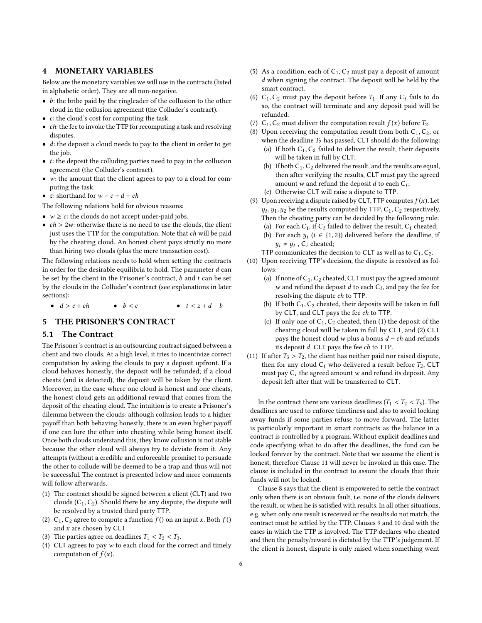### 4 MONETARY VARIABLES

Below are the monetary variables we will use in the contracts (listed in alphabetic order). They are all non-negative.

- $\bullet$  *b*: the bribe paid by the ringleader of the collusion to the other cloud in the collusion agreement (the Colluder's contract).
- c: the cloud's cost for computing the task.
- $\bullet$  *ch*: the fee to invoke the TTP for recomputing a task and resolving disputes.
- d: the deposit a cloud needs to pay to the client in order to get the job.
- $\bullet$  *t*: the deposit the colluding parties need to pay in the collusion agreement (the Colluder's contract).
- w: the amount that the client agrees to pay to a cloud for computing the task.
- z: shorthand for  $w c + d ch$
- The following relations hold for obvious reasons:
- $w \ge c$ : the clouds do not accept under-paid jobs.
- $ch > 2w$ : otherwise there is no need to use the clouds, the client just uses the TTP for the computation. Note that ch will be paid by the cheating cloud. An honest client pays strictly no more than hiring two clouds (plus the mere transaction cost).

The following relations needs to hold when setting the contracts in order for the desirable equilibria to hold. The parameter  $d$  can be set by the client in the Prisoner's contract,  $b$  and  $t$  can be set by the clouds in the Colluder's contract (see explanations in later sections):

•  $d > c + ch$  •  $b < c$  •  $t < z + d - b$ 

# 5 THE PRISONER'S CONTRACT

### 5.1 The Contract

The Prisoner's contract is an outsourcing contract signed between a client and two clouds. At a high level, it tries to incentivize correct computation by asking the clouds to pay a deposit upfront. If a cloud behaves honestly, the deposit will be refunded; if a cloud cheats (and is detected), the deposit will be taken by the client. Moreover, in the case where one cloud is honest and one cheats, the honest cloud gets an additional reward that comes from the deposit of the cheating cloud. The intuition is to create a Prisoner's dilemma between the clouds: although collusion leads to a higher payoff than both behaving honestly, there is an even higher payoff if one can lure the other into cheating while being honest itself. Once both clouds understand this, they know collusion is not stable because the other cloud will always try to deviate from it. Any attempts (without a credible and enforceable promise) to persuade the other to collude will be deemed to be a trap and thus will not be successful. The contract is presented below and more comments will follow afterwards.

- (1) The contract should be signed between a client (CLT) and two clouds  $(C_1, C_2)$ . Should there be any dispute, the dispute will be resolved by a trusted third party TTP.
- (2)  $C_1$ ,  $C_2$  agree to compute a function  $f()$  on an input x. Both  $f()$ and  $x$  are chosen by CLT.
- (3) The parties agree on deadlines  $T_1 < T_2 < T_3$ .
- (4) CLT agrees to pay w to each cloud for the correct and timely computation of  $f(x)$ .
- (5) As a condition, each of  $C_1, C_2$  must pay a deposit of amount d when signing the contract. The deposit will be held by the smart contract.
- (6)  $C_1, C_2$  must pay the deposit before  $T_1$ . If any  $C_i$  fails to do so, the contract will terminate and any deposit paid will be refunded.
- <span id="page-5-7"></span><span id="page-5-1"></span>(7)  $C_1$ ,  $C_2$  must deliver the computation result  $f(x)$  before  $T_2$ .<br>(8) Upon receiving the computation result from both  $C_1$ ,  $C_2$ .
	- Upon receiving the computation result from both  $C_1, C_2$ , or when the deadline  $T_2$  has passed, CLT should do the following: (a) If both  $C_1, C_2$  failed to deliver the result, their deposits will be taken in full by CLT;
		- (b) If both  $C_1, C_2$  delivered the result, and the results are equal, then after verifying the results, CLT must pay the agreed amount w and refund the deposit d to each  $C_i$ ;<br>Otherwise  $C1$  I will raise a dispute to  $TTP$
		- (c) Otherwise CLT will raise a dispute to TTP.
- <span id="page-5-4"></span><span id="page-5-2"></span>(9) Upon receiving a dispute raised by CLT, TTP computes  $f(x)$ . Let  $y_t$ ,  $y_1$ ,  $y_2$  be the results computed by TTP,  $C_1$ ,  $C_2$  respectively.<br>Then the cheating party can be decided by the following rule: Then the cheating party can be decided by the following rule: (a) For each  $C_i$ , if  $C_i$  failed to deliver the result,  $C_i$  cheated;<br>(b) For each  $u_i$ ,  $(i \in \{1, 2\})$  delivered before the deadline, if
	- (b) For each  $y_i$  ( $i \in \{1, 2\}$ ) delivered before the deadline, if  $y_i \neq y_t$ ,  $C_i$  cheated;<br>communicates the de
	- TTP communicates the decision to CLT as well as to  $C_1, C_2$ .
- <span id="page-5-8"></span><span id="page-5-6"></span><span id="page-5-3"></span>(10) Upon receiving TTP's decision, the dispute is resolved as follows:
	- (a) If none of  $C_1, C_2$  cheated, CLT must pay the agreed amount w and refund the deposit d to each  $C_i$ , and pay the fee for<br>recoluing the dignute of to TTP. resolving the dispute ch to TTP.
	- (b) If both  $C_1, C_2$  cheated, their deposits will be taken in full by CLT, and CLT pays the fee ch to TTP.
	- (c) If only one of  $C_1, C_2$  cheated, then (1) the deposit of the cheating cloud will be taken in full by CLT, and (2) CLT pays the honest cloud w plus a bonus  $d - ch$  and refunds its deposit d. CLT pays the fee ch to TTP.
- <span id="page-5-5"></span><span id="page-5-0"></span>(11) If after  $T_3 > T_2$ , the client has neither paid nor raised dispute, then for any cloud  $C_i$  who delivered a result before  $T_2$ , CLT must pay  $C_i$  the agreed amount w and refund its deposit. Any deposit left after that will be transferred to CLT.

In the contract there are various deadlines ( $T_1 < T_2 < T_3$ ). The deadlines are used to enforce timeliness and also to avoid locking away funds if some parties refuse to move forward. The latter is particularly important in smart contracts as the balance in a contract is controlled by a program. Without explicit deadlines and code specifying what to do after the deadlines, the fund can be locked forever by the contract. Note that we assume the client is honest, therefore Clause [11](#page-5-0) will never be invoked in this case. The clause is included in the contract to assure the clouds that their funds will not be locked.

Clause [8](#page-5-1) says that the client is empowered to settle the contract only when there is an obvious fault, i.e. none of the clouds delivers the result, or when he is satisfied with results. In all other situations, e.g. when only one result is received or the results do not match, the contract must be settled by the TTP. Clauses [9](#page-5-2) and [10](#page-5-3) deal with the cases in which the TTP is involved. The TTP declares who cheated and then the penalty/reward is dictated by the TTP's judgement. If the client is honest, dispute is only raised when something went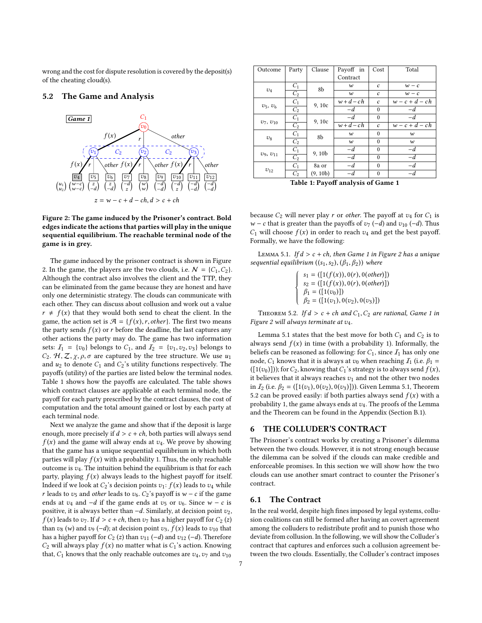wrong and the cost for dispute resolution is covered by the deposit(s) of the cheating cloud(s).

### <span id="page-6-4"></span>5.2 The Game and Analysis

<span id="page-6-0"></span>



The game induced by the prisoner contract is shown in Figure [2.](#page-6-0) In the game, the players are the two clouds, i.e.  $N = \{C_1, C_2\}$ . Although the contract also involves the client and the TTP, they can be eliminated from the game because they are honest and have only one deterministic strategy. The clouds can communicate with each other. They can discuss about collusion and work out a value  $r \neq f(x)$  that they would both send to cheat the client. In the game, the action set is  $\mathcal{A} = \{f(x), r, other\}$ . The first two means the party sends  $f(x)$  or r before the deadline, the last captures any other actions the party may do. The game has two information sets:  $I_1 = \{v_0\}$  belongs to  $C_1$ , and  $I_2 = \{v_1, v_2, v_3\}$  belongs to  $C_2$ .  $H, Z, \chi, \rho, \sigma$  are captured by the tree structure. We use  $u_1$ and  $u_2$  to denote  $C_1$  and  $C_2$ 's utility functions respectively. The payoffs (utility) of the parties are listed below the terminal nodes. Table [1](#page-6-1) shows how the payoffs are calculated. The table shows which contract clauses are applicable at each terminal node, the payoff for each party prescribed by the contract clauses, the cost of computation and the total amount gained or lost by each party at each terminal node.

Next we analyze the game and show that if the deposit is large enough, more precisely if  $d > c + ch$ , both parties will always send  $f(x)$  and the game will alway ends at  $v_4$ . We prove by showing that the game has a unique sequential equilibrium in which both parties will play  $f(x)$  with a probability 1. Thus, the only reachable outcome is  $v_4$ . The intuition behind the equilibrium is that for each party, playing  $f(x)$  always leads to the highest payoff for itself. Indeed if we look at  $C_2$ 's decision points  $v_1$ :  $f(x)$  leads to  $v_4$  while r leads to  $v_5$  and other leads to  $v_6$ .  $C_2$ 's payoff is w – c if the game ends at  $v_4$  and  $-d$  if the game ends at  $v_5$  or  $v_6$ . Since w – c is positive, it is always better than  $-d$ . Similarly, at decision point  $v_2$ ,  $f(x)$  leads to  $v_7$ . If  $d > c + ch$ , then  $v_7$  has a higher payoff for  $C_2(z)$ than  $v_8$  (w) and  $v_9$  (-d); at decision point  $v_3$ ,  $f(x)$  leads to  $v_{10}$  that has a higher payoff for  $C_2$  (z) than  $v_{11}$  (−d) and  $v_{12}$  (−d). Therefore  $C_2$  will always play  $f(x)$  no matter what is  $C_1$ 's action. Knowing that,  $C_1$  knows that the only reachable outcomes are  $v_4$ ,  $v_7$  and  $v_{10}$ 

<span id="page-6-1"></span>

| Outcome                            | Party          | Clause   | Payoff in            | Cost          | Total            |  |  |
|------------------------------------|----------------|----------|----------------------|---------------|------------------|--|--|
|                                    |                |          | Contract             |               |                  |  |  |
| $v_4$                              | $C_1$          | 8b       | w                    | $\mathfrak c$ | $w - c$          |  |  |
|                                    | C <sub>2</sub> |          | $\boldsymbol{w}$     | $\mathfrak c$ | $w - c$          |  |  |
| $v_5, v_6$                         | $C_1$          | 9, 10c   | $w+d-ch$             | $\mathfrak c$ | $w-c+d-ch$       |  |  |
|                                    | C <sub>2</sub> |          | $-d$                 | $\theta$      | $-d$             |  |  |
| $v_7, v_{10}$                      | $C_1$          | 9, 10c   | $-d$                 | $\theta$      | $-d$             |  |  |
|                                    | C <sub>2</sub> |          | $\overline{w}$ +d-ch | $\mathfrak c$ | $w-c+d-ch$       |  |  |
| $v_8$                              | $C_1$          | 8b       | w                    | $\theta$      | w                |  |  |
|                                    | C <sub>2</sub> |          | $\boldsymbol{w}$     | $\theta$      | $\boldsymbol{w}$ |  |  |
|                                    | $C_1$          | 9,10b    | $-d$                 | $\theta$      | $-d$             |  |  |
| $v_9, v_{11}$                      | C <sub>2</sub> |          | $-d$                 | $\Omega$      | $-d$             |  |  |
|                                    | $C_1$          | 8a or    | $-d$                 | $\theta$      | $-d$             |  |  |
| $v_{12}$                           | C <sub>2</sub> | (9, 10b) | $-d$                 | $\Omega$      | $-d$             |  |  |
| Table 1: Payoff analysis of Game 1 |                |          |                      |               |                  |  |  |

because  $C_2$  will never play r or other. The payoff at  $v_4$  for  $C_1$  is *w* − *c* that is greater than the payoffs of  $v_7$  (−*d*) and  $v_{10}$  (−*d*). Thus  $C_1$  will choose  $f(x)$  in order to reach  $v_4$  and get the best payoff. Formally, we have the following:

<span id="page-6-2"></span>LEMMA 5.1. If  $d > c + ch$ , then Game 1 in Figure [2](#page-6-0) has a unique sequential equilibrium  $((s_1,s_2), (\beta_1,\beta_2))$  where

> $\begin{array}{c} \begin{array}{c} \end{array} \\ \begin{array}{c} \end{array} \end{array}$ J ĺ  $\overline{a}$  $s_1 = ([1(f(x)), 0(r), 0(\text{other})])$ <br> $s_2 = ([1(f(x), 0(r), 0(\text{other})])$  $s_2 = ([1(f(x)), 0(r), 0(\text{other})])$ <br>  $\beta_1 = ([1(v_0)])$  $\beta_2 = ([1(v_1), 0(v_2), 0(v_3)])$

<span id="page-6-3"></span>THEOREM 5.2. If  $d > c + ch$  and  $C_1, C_2$  are rational, Game 1 in Figure [2](#page-6-0) will always terminate at v4.

Lemma [5.1](#page-6-2) states that the best move for both  $C_1$  and  $C_2$  is to always send  $f(x)$  in time (with a probability 1). Informally, the beliefs can be reasoned as following: for  $C_1$ , since  $\mathcal{I}_1$  has only one node,  $C_1$  knows that it is always at  $v_0$  when reaching  $I_1$  (i.e.  $\beta_1 =$  $([1(v_0)])$ ; for  $C_2$ , knowing that  $C_1$ 's strategy is to always send  $f(x)$ , it believes that it always reaches  $v_1$  and not the other two nodes in  $I_2$  (i.e.  $\beta_2 = (\lceil 1(v_1), 0(v_2), 0(v_3) \rceil)$ ). Given Lemma [5.1,](#page-6-2) Theorem [5.2](#page-6-3) can be proved easily: if both parties always send  $f(x)$  with a probability 1, the game always ends at  $v_4$ . The proofs of the Lemma and the Theorem can be found in the Appendix (Section [B.1\)](#page-14-1).

### <span id="page-6-5"></span>6 THE COLLUDER'S CONTRACT

The Prisoner's contract works by creating a Prisoner's dilemma between the two clouds. However, it is not strong enough because the dilemma can be solved if the clouds can make credible and enforceable promises. In this section we will show how the two clouds can use another smart contract to counter the Prisoner's contract.

#### 6.1 The Contract

In the real world, despite high fines imposed by legal systems, collusion coalitions can still be formed after having an covert agreement among the colluders to redistribute profit and to punish those who deviate from collusion. In the following, we will show the Colluder's contract that captures and enforces such a collusion agreement between the two clouds. Essentially, the Colluder's contract imposes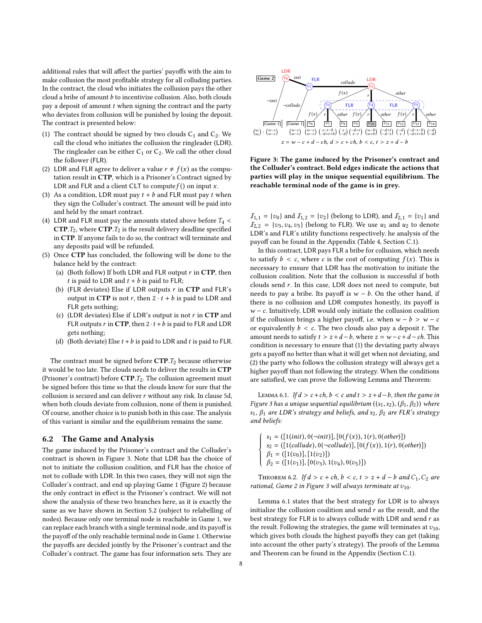additional rules that will affect the parties' payoffs with the aim to make collusion the most profitable strategy for all colluding parties. In the contract, the cloud who initiates the collusion pays the other cloud a bribe of amount  $b$  to incentivize collusion. Also, both clouds pay a deposit of amount  $t$  when signing the contract and the party who deviates from collusion will be punished by losing the deposit. The contract is presented below:

- (1) The contract should be signed by two clouds  $C_1$  and  $C_2$ . We call the cloud who initiates the collusion the ringleader (LDR). The ringleader can be either  $C_1$  or  $C_2$ . We call the other cloud the follower (FLR).
- (2) LDR and FLR agree to deliver a value  $r \neq f(x)$  as the computation result in CTP, which is a Prisoner's Contract signed by LDR and FLR and a client CLT to compute  $f()$  on input x.
- (3) As a condition, LDR must pay  $t + b$  and FLR must pay t when they sign the Colluder's contract. The amount will be paid into and held by the smart contract.
- (4) LDR and FLR must pay the amounts stated above before  $T_4$  <  $CTP.T_2$ , where  $CTP.T_2$  is the result delivery deadline specified in CTP. If anyone fails to do so, the contract will terminate and any deposits paid will be refunded.
- <span id="page-7-5"></span><span id="page-7-4"></span>(5) Once CTP has concluded, the following will be done to the balance held by the contract:
	- (a) (Both follow) If both LDR and FLR output  $r$  in CTP, then *t* is paid to LDR and  $t + b$  is paid to FLR;
	- (b) (FLR deviates) Else if LDR outputs  $r$  in CTP and FLR's output in CTP is not r, then  $2 \cdot t + b$  is paid to LDR and FLR gets nothing;
	- (c) (LDR deviates) Else if LDR's output is not  $r$  in CTP and FLR outputs r in CTP, then  $2 \cdot t + b$  is paid to FLR and LDR gets nothing;
	- (d) (Both deviate) Else  $t + b$  is paid to LDR and t is paid to FLR.

<span id="page-7-3"></span><span id="page-7-0"></span>The contract must be signed before  $\mathbf{CTP}.T_2$  because otherwise it would be too late. The clouds needs to deliver the results in CTP (Prisoner's contract) before  $CTP.T_2$ . The collusion agreement must be signed before this time so that the clouds know for sure that the collusion is secured and can deliver  $r$  without any risk. In clause [5d,](#page-7-0) when both clouds deviate from collusion, none of them is punished. Of course, another choice is to punish both in this case. The analysis of this variant is similar and the equilibrium remains the same.

### 6.2 The Game and Analysis

The game induced by the Prisoner's contract and the Colluder's contract is shown in Figure [3.](#page-7-1) Note that LDR has the choice of not to initiate the collusion coalition, and FLR has the choice of not to collude with LDR. In this two cases, they will not sign the Colluder's contract, and end up playing Game 1 (Figure [2\)](#page-6-0) because the only contract in effect is the Prisoner's contract. We will not show the analysis of these two branches here, as it is exactly the same as we have shown in Section [5.2](#page-6-4) (subject to relabelling of nodes). Because only one terminal node is reachable in Game 1, we can replace each branch with a single terminal node, and its payoff is the payoff of the only reachable terminal node in Game 1. Otherwise the payoffs are decided jointly by the Prisoner's contract and the Colluder's contract. The game has four information sets. They are

<span id="page-7-1"></span>

Figure 3: The game induced by the Prisoner's contract and the Colluder's contract. Bold edges indicate the actions that parties will play in the unique sequential equilibrium. The reachable terminal node of the game is in grey.

 $I_{1,1} = \{v_0\}$  and  $I_{1,2} = \{v_2\}$  (belong to LDR), and  $I_{2,1} = \{v_1\}$  and  $I_{2,2} = \{v_3,v_4,v_5\}$  (belong to FLR). We use  $u_1$  and  $u_2$  to denote LDR's and FLR's utility functions respectively. he analysis of the payoff can be found in the Appendix (Table [4,](#page-15-0) Section [C.1\)](#page-14-2).

In this contract, LDR pays FLR a bribe for collusion, which needs to satisfy  $b < c$ , where c is the cost of computing  $f(x)$ . This is necessary to ensure that LDR has the motivation to initiate the collusion coalition. Note that the collusion is successful if both clouds send r. In this case, LDR does not need to compute, but needs to pay a bribe. Its payoff is  $w - b$ . On the other hand, if there is no collusion and LDR computes honestly, its payoff is  $w - c$ . Intuitively, LDR would only initiate the collusion coalition if the collusion brings a higher payoff, i.e. when  $w - b > w - c$ or equivalently  $b < c$ . The two clouds also pay a deposit t. The amount needs to satisfy  $t > z + d - b$ , where  $z = w - c + d - ch$ . This condition is necessary to ensure that (1) the deviating party always gets a payoff no better than what it will get when not deviating, and (2) the party who follows the collusion strategy will always get a higher payoff than not following the strategy. When the conditions are satisfied, we can prove the following Lemma and Theorem:

<span id="page-7-2"></span>LEMMA 6.1. If  $d > c + ch, b < c$  and  $t > z + d - b$ , then the game in Figure [3](#page-7-1) has a unique sequential equilibrium  $((s_1, s_2), (\beta_1, \beta_2))$  where  $s_1$ ,  $\beta_1$  are LDR's strategy and beliefs, and  $s_2$ ,  $\beta_2$  are FLR's strategy and beliefs:

 $\begin{array}{c} \begin{array}{c} \end{array} \\ \begin{array}{c} \end{array} \end{array}$ J ĺ  $\overline{ }$  $s_1 = ([1(int), 0(\neg init)], [0(f(x)), 1(r), 0(other)])$  $s_2 = ([1(collude), 0(-collude)], [0(f(x)), 1(r), 0(other)])$ <br> $\beta_1 = (11(z_0))$ ,  $[1(z_0)]$  $\beta_1 = ([1(v_0)], [1(v_2)])$ <br> $\beta_2 = ([1(z_1), 1], [0(z_2), 1])$  $\beta_2 = ([1(v_1)], [0(v_3), 1(v_4), 0(v_5)])$ 

<span id="page-7-6"></span>THEOREM 6.2. If  $d > c + ch$ ,  $b < c$ ,  $t > z + d - b$  and  $C_1$ ,  $C_2$  are rational, Game 2 in Figure [3](#page-7-1) will always terminate at  $v_{10}$ .

Lemma [6.1](#page-7-2) states that the best strategy for LDR is to always initialize the collusion coalition and send  $r$  as the result, and the best strategy for FLR is to always collude with LDR and send  $r$  as the result. Following the strategies, the game will terminates at  $v_{10}$ , which gives both clouds the highest payoffs they can get (taking into account the other party's strategy). The proofs of the Lemma and Theorem can be found in the Appendix (Section [C.1\)](#page-14-2).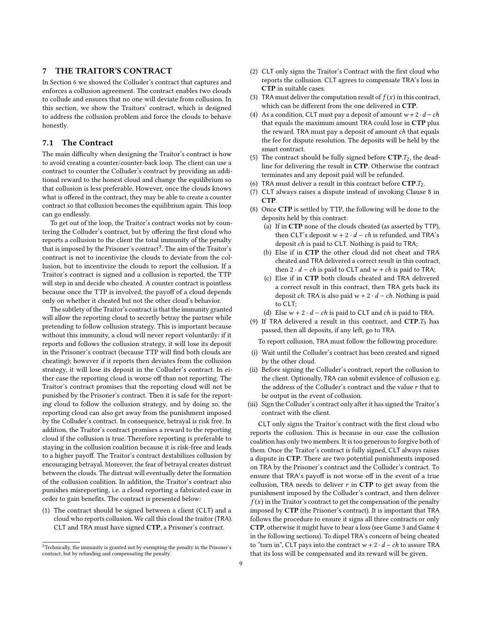# 7 THE TRAITOR'S CONTRACT

In Section [6](#page-6-5) we showed the Colluder's contract that captures and enforces a collusion agreement. The contract enables two clouds to collude and ensures that no one will deviate from collusion. In this section, we show the Traitors' contract, which is designed to address the collusion problem and force the clouds to behave honestly.

### 7.1 The Contract

The main difficulty when designing the Traitor's contract is how to avoid creating a counter/counter-back loop. The client can use a contract to counter the Colluder's contract by providing an additional reward to the honest cloud and change the equilibrium so that collusion is less preferable. However, once the clouds knows what is offered in the contract, they may be able to create a counter contract so that collusion becomes the equilibrium again. This loop can go endlessly.

To get out of the loop, the Traitor's contract works not by countering the Colluder's contract, but by offering the first cloud who reports a collusion to the client the total immunity of the penalty that is imposed by the Prisoner's contract<sup>[3](#page-8-0)</sup>. The aim of the Traitor's contract is not to incentivize the clouds to deviate from the collusion, but to incentivize the clouds to report the collusion. If a Traitor's contract is signed and a collusion is reported, the TTP will step in and decide who cheated. A counter contract is pointless because once the TTP is involved, the payoff of a cloud depends only on whether it cheated but not the other cloud's behavior.

The subtlety of the Traitor's contract is that the immunity granted will allow the reporting cloud to secretly betray the partner while pretending to follow collusion strategy. This is important because without this immunity, a cloud will never report voluntarily: if it reports and follows the collusion strategy, it will lose its deposit in the Prisoner's contract (because TTP will find both clouds are cheating); however if it reports then deviates from the collusion strategy, it will lose its deposit in the Colluder's contract. In either case the reporting cloud is worse off than not reporting. The Traitor's contract promises that the reporting cloud will not be punished by the Prisoner's contract. Then it is safe for the reporting cloud to follow the collusion strategy, and by doing so, the reporting cloud can also get away from the punishment imposed by the Colluder's contract. In consequence, betrayal is risk free. In addition, the Traitor's contract promises a reward to the reporting cloud if the collusion is true. Therefore reporting is preferable to staying in the collusion coalition because it is risk-free and leads to a higher payoff. The Traitor's contract destabilizes collusion by encouraging betrayal. Moreover, the fear of betrayal creates distrust between the clouds. The distrust will eventually deter the formation of the collusion coalition. In addition, the Traitor's contract also punishes misreporting, i.e. a cloud reporting a fabricated case in order to gain benefits. The contract is presented below:

(1) The contract should be signed between a client (CLT) and a cloud who reports collusion. We call this cloud the traitor (TRA). CLT and TRA must have signed CTP, a Prisoner's contract.

- (2) CLT only signs the Traitor's Contract with the first cloud who reports the collusion. CLT agrees to compensate TRA's loss in CTP in suitable cases.
- (3) TRA must deliver the computation result of  $f(x)$  in this contract, which can be different from the one delivered in CTP.
- (4) As a condition, CLT must pay a deposit of amount  $w + 2 \cdot d ch$ that equals the maximum amount TRA could lose in CTP plus the reward. TRA must pay a deposit of amount ch that equals the fee for dispute resolution. The deposits will be held by the smart contract.
- (5) The contract should be fully signed before  $CTP.T_2$ , the deadline for delivering the result in CTP. Otherwise the contract terminates and any deposit paid will be refunded.
- (6) TRA must deliver a result in this contract before  $\text{CTP}.T_2$ .
- (7) CLT always raises a dispute instead of invoking Clause 8 in CTP.
- <span id="page-8-3"></span><span id="page-8-2"></span><span id="page-8-1"></span>(8) Once CTP is settled by TTP, the following will be done to the deposits held by this contract:
	- (a) If in CTP none of the clouds cheated (as asserted by TTP), then CLT's deposit  $w + 2 \cdot d - ch$  is refunded, and TRA's deposit ch is paid to CLT. Nothing is paid to TRA;
	- (b) Else if in CTP the other cloud did not cheat and TRA cheated and TRA delivered a correct result in this contract, then  $2 \cdot d - ch$  is paid to CLT and  $w + ch$  is paid to TRA;
	- (c) Else if in CTP both clouds cheated and TRA delivered a correct result in this contract, then TRA gets back its deposit ch. TRA is also paid  $w + 2 \cdot d - ch$ . Nothing is paid to CLT;
	- (d) Else  $w + 2 \cdot d ch$  is paid to CLT and ch is paid to TRA.
- <span id="page-8-5"></span><span id="page-8-4"></span>(9) If TRA delivered a result in this contract, and  $CTP.T_3$  has passed, then all deposits, if any left, go to TRA.

To report collusion, TRA must follow the following procedure:

- (i) Wait until the Colluder's contract has been created and signed by the other cloud.
- (ii) Before signing the Colluder's contract, report the collusion to the client. Optionally, TRA can submit evidence of collusion e.g. the address of the Colluder's contract and the value  $r$  that to be output in the event of collusion.
- (iii) Sign the Colluder's contract only after it has signed the Traitor's contract with the client.

CLT only signs the Traitor's contract with the first cloud who reports the collusion. This is because in our case the collusion coalition has only two members. It is too generous to forgive both of them. Once the Traitor's contract is fully signed, CLT always raises a dispute in CTP. There are two potential punishments imposed on TRA by the Prisoner's contract and the Colluder's contract. To ensure that TRA's payoff is not worse off in the event of a true collusion, TRA needs to deliver  $r$  in CTP to get away from the punishment imposed by the Colluder's contract, and then deliver  $f(x)$  in the Traitor's contract to get the compensation of the penalty imposed by CTP (the Prisoner's contract). It is important that TRA follows the procedure to ensure it signs all three contracts or only CTP, otherwise it might have to bear a loss (see Game 3 and Game 4 in the following sections). To dispel TRA's concern of being cheated to "turn in", CLT pays into the contract  $w + 2 \cdot d - ch$  to assure TRA that its loss will be compensated and its reward will be given.

<span id="page-8-0"></span> $^3$  Technically, the immunity is granted not by exempting the penalty in the Prisoner's contract, but by refunding and compensating the penalty.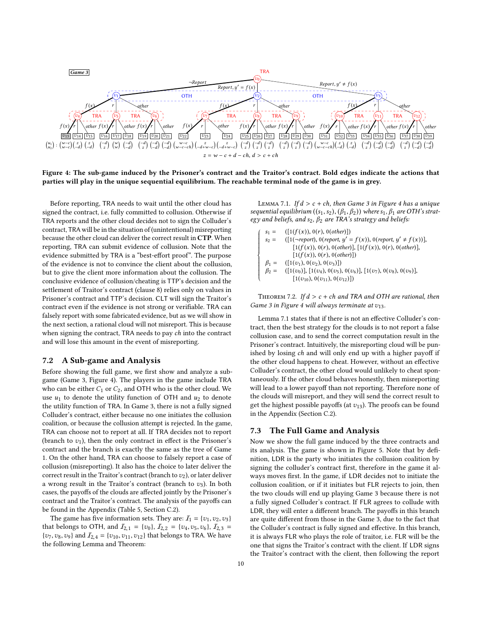<span id="page-9-0"></span>

Figure 4: The sub-game induced by the Prisoner's contract and the Traitor's contract. Bold edges indicate the actions that parties will play in the unique sequential equilibrium. The reachable terminal node of the game is in grey.

Before reporting, TRA needs to wait until the other cloud has signed the contract, i.e. fully committed to collusion. Otherwise if TRA reports and the other cloud decides not to sign the Colluder's contract, TRA will be in the situation of (unintentional) misreporting because the other cloud can deliver the correct result in CTP. When reporting, TRA can submit evidence of collusion. Note that the evidence submitted by TRA is a "best-effort proof". The purpose of the evidence is not to convince the client about the collusion, but to give the client more information about the collusion. The conclusive evidence of collusion/cheating is TTP's decision and the settlement of Traitor's contract (clause [8\)](#page-8-1) relies only on values in Prisoner's contract and TTP's decision. CLT will sign the Traitor's contract even if the evidence is not strong or verifiable. TRA can falsely report with some fabricated evidence, but as we will show in the next section, a rational cloud will not misreport. This is because when signing the contract, TRA needs to pay ch into the contract and will lose this amount in the event of misreporting.

### <span id="page-9-2"></span>7.2 A Sub-game and Analysis

Before showing the full game, we first show and analyze a subgame (Game 3, Figure [4\)](#page-9-0). The players in the game include TRA who can be either  $C_1$  or  $C_2$ , and OTH who is the other cloud. We use  $u_1$  to denote the utility function of OTH and  $u_2$  to denote the utility function of TRA. In Game 3, there is not a fully signed Colluder's contract, either because no one initiates the collusion coalition, or because the collusion attempt is rejected. In the game, TRA can choose not to report at all. If TRA decides not to report (branch to  $v_1$ ), then the only contract in effect is the Prisoner's contract and the branch is exactly the same as the tree of Game 1. On the other hand, TRA can choose to falsely report a case of collusion (misreporting). It also has the choice to later deliver the correct result in the Traitor's contract (branch to  $v_2$ ), or later deliver a wrong result in the Traitor's contract (branch to  $v_3$ ). In both cases, the payoffs of the clouds are affected jointly by the Prisoner's contract and the Traitor's contract. The analysis of the payoffs can be found in the Appendix (Table [5,](#page-17-0) Section [C.2\)](#page-16-0).

The game has five information sets. They are:  $I_1 = \{v_1, v_2, v_3\}$ that belongs to OTH, and  $I_{2,1} = \{v_0\}$ ,  $I_{2,2} = \{v_4, v_5, v_6\}$ ,  $I_{2,3} =$  $\{v_7, v_8, v_9\}$  and  $\mathcal{I}_{2,4} = \{v_{10}, v_{11}, v_{12}\}$  that belongs to TRA. We have the following Lemma and Theorem:

<span id="page-9-1"></span>LEMMA 7.1. If  $d > c + ch$ , then Game 3 in Figure [4](#page-9-0) has a unique sequential equilibrium  $((s_1,s_2), (\beta_1,\beta_2))$  where  $s_1, \beta_1$  are OTH's strategy and beliefs, and  $s_2$ ,  $\beta_2$  are TRA's strategy and beliefs:

$$
\begin{cases}\ns_1 = & ([1(f(x)), 0(r), 0(other)]) \\
s_2 = & ([1(-report), 0(report, y' = f(x)), 0(report, y' \neq f(x))], \\
[1(f(x)), 0(r), 0(other)], [1(f(x)), 0(r), 0(other)], \\
[1(f(x)), 0(r), 0(other)]) \\
\beta_1 = & ([1(v_1), 0(v_2), 0(v_3)]) \\
\beta_2 = & ([1(v_0)], [1(v_4), 0(v_5), 0(v_6)], [1(v_7), 0(v_8), 0(v_9)], \\
[1(v_{10}), 0(v_{11}), 0(v_{22})])\n\end{cases}
$$

<span id="page-9-3"></span>THEOREM 7.2. If  $d > c + ch$  and TRA and OTH are rational, then Game 3 in Figure [4](#page-9-0) will always terminate at  $v_{13}$ .

Lemma [7.1](#page-9-1) states that if there is not an effective Colluder's contract, then the best strategy for the clouds is to not report a false collusion case, and to send the correct computation result in the Prisoner's contract. Intuitively, the misreporting cloud will be punished by losing ch and will only end up with a higher payoff if the other cloud happens to cheat. However, without an effective Colluder's contract, the other cloud would unlikely to cheat spontaneously. If the other cloud behaves honestly, then misreporting will lead to a lower payoff than not reporting. Therefore none of the clouds will misreport, and they will send the correct result to get the highest possible payoffs (at  $v_{13}$ ). The proofs can be found in the Appendix (Section [C.2\)](#page-16-0).

### 7.3 The Full Game and Analysis

Now we show the full game induced by the three contracts and its analysis. The game is shown in Figure [5.](#page-10-0) Note that by definition, LDR is the party who initiates the collusion coalition by signing the colluder's contract first, therefore in the game it always moves first. In the game, if LDR decides not to initiate the collusion coalition, or if it initiates but FLR rejects to join, then the two clouds will end up playing Game 3 because there is not a fully signed Colluder's contract. If FLR agrees to collude with LDR, they will enter a different branch. The payoffs in this branch are quite different from those in the Game 3, due to the fact that the Colluder's contract is fully signed and effective. In this branch, it is always FLR who plays the role of traitor, i.e. FLR will be the one that signs the Traitor's contract with the client. If LDR signs the Traitor's contract with the client, then following the report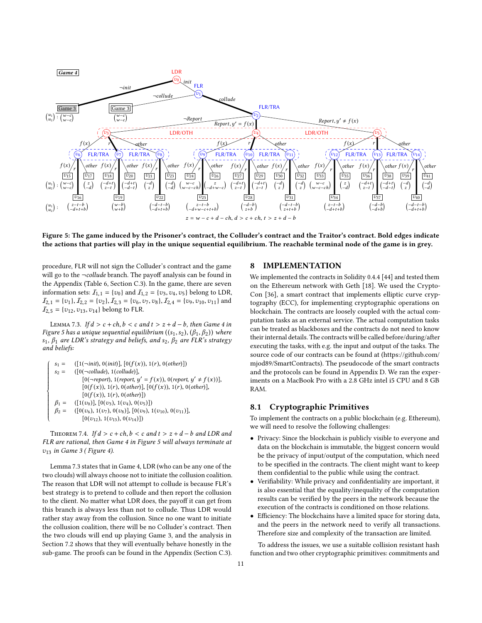<span id="page-10-0"></span>

Figure 5: The game induced by the Prisoner's contract, the Colluder's contract and the Traitor's contract. Bold edges indicate the actions that parties will play in the unique sequential equilibrium. The reachable terminal node of the game is in grey.

procedure, FLR will not sign the Colluder's contract and the game will go to the ¬collude branch. The payoff analysis can be found in the Appendix (Table [6,](#page-19-0) Section [C.3\)](#page-18-0). In the game, there are seven information sets:  $I_{1,1} = \{v_0\}$  and  $I_{1,2} = \{v_3, v_4, v_5\}$  belong to LDR,  $I_{2,1} = \{v_1\}, I_{2,2} = \{v_2\}, I_{2,3} = \{v_6, v_7, v_8\}, I_{2,4} = \{v_9, v_{10}, v_{11}\}$  and  $I_{2,5} = \{v_{12}, v_{13}, v_{14}\}$  belong to FLR.

<span id="page-10-1"></span>LEMMA 7.3. If  $d > c + ch, b < c$  and  $t > z + d - b$ , then Game 4 in Figure [5](#page-10-0) has a unique sequential equilibrium  $((s_1, s_2), (\beta_1, \beta_2))$  where s<sub>1</sub>,  $β_1$  are LDR's strategy and beliefs, and s<sub>2</sub>,  $β_2$  are FLR's strategy and beliefs:

```
s_1 = ([1(-init), 0(int)], [0(f(x)), 1(r), 0(other)])<br>
s_2 = ([0(-collude), 1(collude)],([0(-\text{collude}), 1(\text{collude})],[0(\neg report), 1(report, y' = f(x)), 0(report, y' \neq f(x))],<br>[0(f(x)), 1(x), 0(\alpha t \alpha)], [0(f(x)), 1(x), 0(\alpha t \alpha t)][0(f(x)), 1(r), 0(\text{other})], [0(f(x)), 1(r), 0(\text{other})],[0(f(x)), 1(r), 0(\text{other})])\beta_1 = \begin{array}{cc} ([1(v_0)], [0(v_3), 1(v_4), 0(v_5)]) \\ \beta_2 = \begin{array}{cc} ([0(v_6), 1(v_7), 0(v_8)], [0(v_9), 1] \end{array} \end{array}([0(v_6), 1(v_7), 0(v_8)], [0(v_9), 1(v_{10}), 0(v_{11})],[0(v_{12}), 1(v_{13}), 0(v_{14})])
```
 $\begin{array}{c} \begin{array}{c} \begin{array}{c} \end{array} \\ \begin{array}{c} \end{array} \end{array} \end{array}$ J  $\begin{matrix} \end{matrix}$  $\overline{\mathcal{L}}$ 

<span id="page-10-2"></span>THEOREM 7.4. If  $d > c + ch, b < c$  and  $t > z + d - b$  and LDR and FLR are rational, then Game 4 in Figure [5](#page-10-0) will always terminate at  $v_{13}$  in Game 3 (Figure [4\)](#page-9-0).

Lemma [7.3](#page-10-1) states that in Game 4, LDR (who can be any one of the two clouds) will always choose not to initiate the collusion coalition. The reason that LDR will not attempt to collude is because FLR's best strategy is to pretend to collude and then report the collusion to the client. No matter what LDR does, the payoff it can get from this branch is always less than not to collude. Thus LDR would rather stay away from the collusion. Since no one want to initiate the collusion coalition, there will be no Colluder's contract. Then the two clouds will end up playing Game 3, and the analysis in Section [7.2](#page-9-2) shows that they will eventually behave honestly in the sub-game. The proofs can be found in the Appendix (Section [C.3\)](#page-18-0).

### 8 IMPLEMENTATION

We implemented the contracts in Solidity 0.4.4 [\[44\]](#page-13-14) and tested them on the Ethereum network with Geth [\[18\]](#page-13-15). We used the Crypto-Con [\[36\]](#page-13-16), a smart contract that implements elliptic curve cryptography (ECC), for implementing cryptographic operations on blockchain. The contracts are loosely coupled with the actual computation tasks as an external service. The actual computation tasks can be treated as blackboxes and the contracts do not need to know their internal details. The contracts will be called before/during/after executing the tasks, with e.g. the input and output of the tasks. The source code of our contracts can be found at [\(https://github.com/](https://github.com/mjod89/SmartContracts) [mjod89/SmartContracts\)](https://github.com/mjod89/SmartContracts). The pseudocode of the smart contracts and the protocols can be found in Appendix [D.](#page-20-0) We ran the experiments on a MacBook Pro with a 2.8 GHz intel i5 CPU and 8 GB RAM.

# 8.1 Cryptographic Primitives

To implement the contracts on a public blockchain (e.g. Ethereum), we will need to resolve the following challenges:

- Privacy: Since the blockchain is publicly visible to everyone and data on the blockchain is immutable, the biggest concern would be the privacy of input/output of the computation, which need to be specified in the contracts. The client might want to keep them confidential to the public while using the contract.
- Verifiability: While privacy and confidentiality are important, it is also essential that the equality/inequality of the computation results can be verified by the peers in the network because the execution of the contracts is conditioned on those relations.
- Efficiency: The blockchains have a limited space for storing data, and the peers in the network need to verify all transactions. Therefore size and complexity of the transaction are limited.

To address the issues, we use a suitable collision resistant hash function and two other cryptographic primitives: commitments and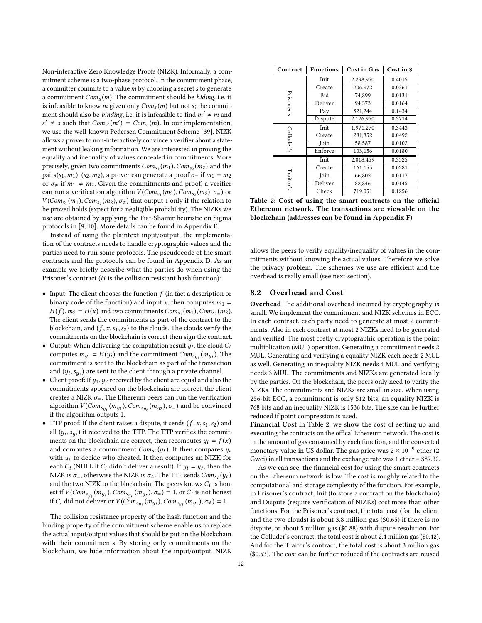Non-interactive Zero Knowledge Proofs (NIZK). Informally, a commitment scheme is a two-phase protocol. In the commitment phase, a committer commits to a value *m* by choosing a secret *s* to generate a commitment  $Com<sub>s</sub>(m)$ . The commitment should be *hiding*, i.e. it is infeasible to know m given only  $Com<sub>s</sub>(m)$  but not s; the commitment should also be *binding*, i.e. it is infeasible to find  $m' \neq m$  and  $s' \neq s$  such that  $Com_{s'}(m') = Com_{s}(m)$ . In our implementation, we use the well-known Pedersen Commitment Scheme [\[39\]](#page-13-17). NIZK allows a prover to non-interactively convince a verifier about a statement without leaking information. We are interested in proving the equality and inequality of values concealed in commitments. More precisely, given two commitments  $Com_{s_1}(m_1), Com_{s_2}(m_2)$  and the pairs(s, m) (see ma) a prover can generate a proof  $\sigma$  if  $m_1 - m_2$ pairs(s<sub>1</sub>, m<sub>1</sub>), (s<sub>2</sub>, m<sub>2</sub>), a prover can generate a proof  $\sigma$ <sub>=</sub> if  $m_1 = m_2$ or  $\sigma_{\neq}$  if  $m_1 \neq m_2$ . Given the commitments and proof, a verifier can run a verification algorithm  $V(Com_{s_1}(m_2), Com_{s_2}(m_2), \sigma_z)$  or  $V(Com_{s_1}(m_1), Com_{s_2}(m_2), \sigma_z)$  that output 1 only if the relation to  $V(Com_{S_1}(m_1), Com_{S_2}(m_2), \sigma_{\neq})$  that output 1 only if the relation to be proved holds (expect for a perligible probability). The NIZKs we be proved holds (expect for a negligible probability). The NIZKs we use are obtained by applying the Fiat-Shamir heuristic on Sigma protocols in [\[9,](#page-13-18) [10\]](#page-13-19). More details can be found in Appendix [E.](#page-22-0)

Instead of using the plaintext input/output, the implementation of the contracts needs to handle cryptographic values and the parties need to run some protocols. The pseudocode of the smart contracts and the protocols can be found in Appendix [D.](#page-20-0) As an example we briefly describe what the parties do when using the Prisoner's contract (H is the collision resistant hash function):

- Input: The client chooses the function  $f$  (in fact a description or binary code of the function) and input x, then computes  $m_1 =$  $H(f), m_2 = H(x)$  and two commitments  $Com_{s_1}(m_1), Com_{s_2}(m_2)$ .<br>The client sends the commitments as part of the contract to the The client sends the commitments as part of the contract to the blockchain, and  $(f, x, s_1, s_2)$  to the clouds. The clouds verify the commitments on the blockchain is correct then sign the contract.
- Output: When delivering the computation result  $y_i$ , the cloud  $C_i$ <br>computes  $m_i = H(u_i)$  and the commitment  $Com_i$  (m). The computes  $m_{y_i} = H(y_i)$  and the commitment  $Com_{s_{y_i}}(m_{y_i})$ . The commitment is sent to the blockchain as part of the transaction commitment is sent to the blockchain as part of the transaction and  $(y_i, s_{y_i})$  are sent to the client through a private channel.<br>Client proof: If  $y_i$ ,  $y_i$  received by the client are equal and also i
- Client proof: If  $y_1, y_2$  received by the client are equal and also the commitments appeared on the blockchain are correct, the client creates a NIZK  $\sigma$ <sub>=</sub>. The Ethereum peers can run the verification algorithm  $V(Com_{s_{y_1}}(m_{y_1}), Com_{s_{y_2}}(m_{y_2}), \sigma =)$  and be convinced<br>if the elgorithm outputs 1 if the algorithm outputs 1.
- TTP proof: If the client raises a dispute, it sends  $(f, x, s_1, s_2)$  and all  $(y_i, s_{y_i})$  it received to the TTP. The TTP verifies the commit-<br>ments on the blockchain are correct then recomputes  $y_i - f(x)$ ments on the blockchain are correct, then recomputes  $y_t = f(x)$ and computes a commitment  $Con_{s_t}(y_t)$ . It then compares  $y_t$ <br>with  $y_t$  to docide who chooted It then computes an NIZK for with  $y_t$  to decide who cheated. It then computes an NIZK for each  $C_i$  (NULL if  $C_i$  didn't deliver a result). If  $y_i = y_i$ , then the NIZK is  $\sigma_z$ , otherwise the NIZK is  $\sigma_{\neq}$ . The TTP sends  $Com_{S_t}(y_t)$ and the two NIZK to the blockchain. The peers knows  $C_i$  is hon-<br>est if  $V(Com_{i-1}, Com_{i-1}, \pi_i) = 1$  or  $C_i$  is not honest est if  $V(Com_{s_{y_i}}(m_{y_i}), Com_{s_{y_i}}(m_{y_i}), \sigma_z) = 1$ , or  $C_i$  is not honest<br>if  $C_i$  did not deliver or  $V(Com_{s_{y_i}}(m_i), Com_{s_{y_i}}(m_i), \sigma_i) = 1$ if  $C_i$  did not deliver or  $V(Com_{s_{y_i}}(m_{y_i}),Com_{s_{y_t}}(m_{y_t}), \sigma_{\neq}) = 1$ .

The collision resistance property of the hash function and the binding property of the commitment scheme enable us to replace the actual input/output values that should be put on the blockchain with their commitments. By storing only commitments on the blockchain, we hide information about the input/output. NIZK

<span id="page-11-0"></span>

| Contract   | <b>Functions</b> | <b>Cost in Gas</b> | Cost in \$ |
|------------|------------------|--------------------|------------|
|            | Init             | 2,298,950          | 0.4015     |
|            | Create           | 206.972            | 0.0361     |
| Prisoner's | Bid              | 74,899             | 0.0131     |
|            | Deliver          | 94,373             | 0.0164     |
|            | Pay              | 821,244            | 0.1434     |
|            | Dispute          | 2,126,950          | 0.3714     |
| Colluder's | Init             | 1,971,270          | 0.3443     |
|            | Create           | 281,852            | 0.0492     |
|            | Join             | 58,587             | 0.0102     |
|            | Enforce          | 103,156            | 0.0180     |
|            | Init             | 2,018,459          | 0.3525     |
| Traitor's  | Create           | 161,155            | 0.0281     |
|            | Join             | 66,802             | 0.0117     |
|            | Deliver          | 82,846             | 0.0145     |
|            | Check            | 719.051            | 0.1256     |

Table 2: Cost of using the smart contracts on the official Ethereum network. The transactions are viewable on the blockchain (addresses can be found in Appendix [F\)](#page-22-1)

allows the peers to verify equality/inequality of values in the commitments without knowing the actual values. Therefore we solve the privacy problem. The schemes we use are efficient and the overhead is really small (see next section).

### 8.2 Overhead and Cost

Overhead The additional overhead incurred by cryptography is small. We implement the commitment and NIZK schemes in ECC. In each contract, each party need to generate at most 2 commitments. Also in each contract at most 2 NIZKs need to be generated and verified. The most costly cryptographic operation is the point multiplication (MUL) operation. Generating a commitment needs 2 MUL. Generating and verifying a equality NIZK each needs 2 MUL as well. Generating an inequality NIZK needs 4 MUL and verifying needs 3 MUL. The commitments and NIZKs are generated locally by the parties. On the blockchain, the peers only need to verify the NIZKs. The commitments and NIZKs are small in size. When using 256-bit ECC, a commitment is only 512 bits, an equality NIZK is 768 bits and an inequality NIZK is 1536 bits. The size can be further reduced if point compression is used.

Financial Cost In Table [2,](#page-11-0) we show the cost of setting up and executing the contracts on the offical Ethereum network. The cost is in the amount of gas consumed by each function, and the converted monetary value in US dollar. The gas price was  $2 \times 10^{-9}$  ether (2 Gwei) in all transactions and the exchange rate was 1 ether = \$87.32.

As we can see, the financial cost for using the smart contracts on the Ethereum network is low. The cost is roughly related to the computational and storage complexity of the function. For example, in Prisoner's contract, Init (to store a contract on the blockchain) and Dispute (require verification of NIZKs) cost more than other functions. For the Prisoner's contract, the total cost (for the client and the two clouds) is about 3.8 million gas (\$0.65) if there is no dispute, or about 5 million gas (\$0.88) with dispute resolution. For the Colluder's contract, the total cost is about 2.4 million gas (\$0.42). And for the Traitor's contract, the total cost is about 3 million gas (\$0.53). The cost can be further reduced if the contracts are reused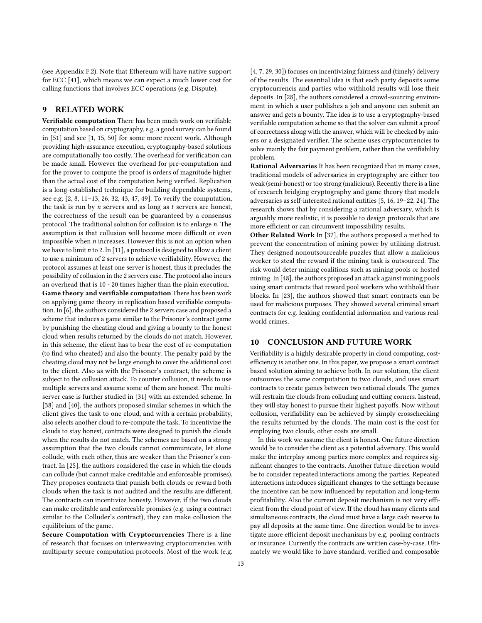(see Appendix [F.2\)](#page-23-0). Note that Ethereum will have native support for ECC [\[41\]](#page-13-20), which means we can expect a much lower cost for calling functions that involves ECC operations (e.g. Dispute).

# <span id="page-12-0"></span>9 RELATED WORK

Verifiable computation There has been much work on verifiable computation based on cryptography, e.g. a good survey can be found in [\[51\]](#page-13-4) and see [\[1,](#page-13-21) [15,](#page-13-22) [50\]](#page-13-23) for some more recent work. Although providing high-assurance execution, cryptography-based solutions are computationally too costly. The overhead for verification can be made small. However the overhead for pre-computation and for the prover to compute the proof is orders of magnitude higher than the actual cost of the computation being verified. Replication is a long-established technique for building dependable systems, see e.g. [\[2,](#page-13-24) [8,](#page-13-25) [11](#page-13-5)[–13,](#page-13-26) [26,](#page-13-27) [32,](#page-13-28) [43,](#page-13-29) [47,](#page-13-30) [49\]](#page-13-31). To verify the computation, the task is run by  $n$  servers and as long as  $t$  servers are honest, the correctness of the result can be guaranteed by a consensus protocol. The traditional solution for collusion is to enlarge n. The assumption is that collusion will become more difficult or even impossible when  $n$  increases. However this is not an option when we have to limit  $n$  to 2. In [\[11\]](#page-13-5), a protocol is designed to allow a client to use a minimum of 2 servers to achieve verifiability. However, the protocol assumes at least one server is honest, thus it precludes the possibility of collusion in the 2 servers case. The protocol also incurs an overhead that is 10 - 20 times higher than the plain execution. Game theory and verifiable computation There has been work on applying game theory in replication based verifiable computation. In [\[6\]](#page-13-13), the authors considered the 2 servers case and proposed a scheme that induces a game similar to the Prisoner's contract game by punishing the cheating cloud and giving a bounty to the honest cloud when results returned by the clouds do not match. However, in this scheme, the client has to bear the cost of re-computation (to find who cheated) and also the bounty. The penalty paid by the cheating cloud may not be large enough to cover the additional cost to the client. Also as with the Prisoner's contract, the scheme is subject to the collusion attack. To counter collusion, it needs to use multiple servers and assume some of them are honest. The multiserver case is further studied in [\[31\]](#page-13-32) with an extended scheme. In [\[38\]](#page-13-33) and [\[40\]](#page-13-34), the authors proposed similar schemes in which the client gives the task to one cloud, and with a certain probability, also selects another cloud to re-compute the task. To incentivize the clouds to stay honest, contracts were designed to punish the clouds when the results do not match. The schemes are based on a strong assumption that the two clouds cannot communicate, let alone collude, with each other, thus are weaker than the Prisoner's contract. In [\[25\]](#page-13-35), the authors considered the case in which the clouds can collude (but cannot make creditable and enforceable promises). They proposes contracts that punish both clouds or reward both clouds when the task is not audited and the results are different. The contracts can incentivize honesty. However, if the two clouds can make creditable and enforceable promises (e.g. using a contract similar to the Colluder's contract), they can make collusion the equilibrium of the game.

Secure Computation with Cryptocurrencies There is a line of research that focuses on interweaving cryptocurrencies with multiparty secure computation protocols. Most of the work (e.g. [\[4,](#page-13-36) [7,](#page-13-37) [29,](#page-13-38) [30\]](#page-13-39)) focuses on incentivizing fairness and (timely) delivery of the results. The essential idea is that each party deposits some cryptocurrencis and parties who withhold results will lose their deposits. In [\[28\]](#page-13-40), the authors considered a crowd-sourcing environment in which a user publishes a job and anyone can submit an answer and gets a bounty. The idea is to use a cryptography-based verifiable computation scheme so that the solver can submit a proof of correctness along with the answer, which will be checked by miners or a designated verifier. The scheme uses cryptocurrencies to solve mainly the fair payment problem, rather than the verifiability problem.

Rational Adversaries It has been recognized that in many cases, traditional models of adversaries in cryptography are either too weak (semi-honest) or too strong (malicious). Recently there is a line of research bridging cryptography and game theory that models adversaries as self-interested rational entities [\[5,](#page-13-41) [16,](#page-13-42) [19–](#page-13-43)[22,](#page-13-44) [24\]](#page-13-45). The research shows that by considering a rational adversary, which is arguably more realistic, it is possible to design protocols that are more efficient or can circumvent impossibility results.

Other Related Work In [\[37\]](#page-13-46), the authors proposed a method to prevent the concentration of mining power by utilizing distrust. They designed nonoutsourceable puzzles that allow a malicious worker to steal the reward if the mining task is outsourced. The risk would deter mining coalitions such as mining pools or hosted mining. In [\[48\]](#page-13-47), the authors proposed an attack against mining pools using smart contracts that reward pool workers who withhold their blocks. In [\[23\]](#page-13-48), the authors showed that smart contracts can be used for malicious purposes. They showed several criminal smart contracts for e.g. leaking confidential information and various realworld crimes.

# 10 CONCLUSION AND FUTURE WORK

Verifiability is a highly desirable property in cloud computing, costefficiency is another one. In this paper, we propose a smart contract based solution aiming to achieve both. In our solution, the client outsources the same computation to two clouds, and uses smart contracts to create games between two rational clouds. The games will restrain the clouds from colluding and cutting corners. Instead, they will stay honest to pursue their highest payoffs. Now without collusion, verifiability can be achieved by simply crosschecking the results returned by the clouds. The main cost is the cost for employing two clouds, other costs are small.

In this work we assume the client is honest. One future direction would be to consider the client as a potential adversary. This would make the interplay among parties more complex and requires significant changes to the contracts. Another future direction would be to consider repeated interactions among the parties. Repeated interactions introduces significant changes to the settings because the incentive can be now influenced by reputation and long-term profitability. Also the current deposit mechanism is not very efficient from the cloud point of view. If the cloud has many clients and simultaneous contracts, the cloud must have a large cash reserve to pay all deposits at the same time. One direction would be to investigate more efficient deposit mechanisms by e.g. pooling contracts or insurance. Currently the contracts are written case-by-case. Ultimately we would like to have standard, verified and composable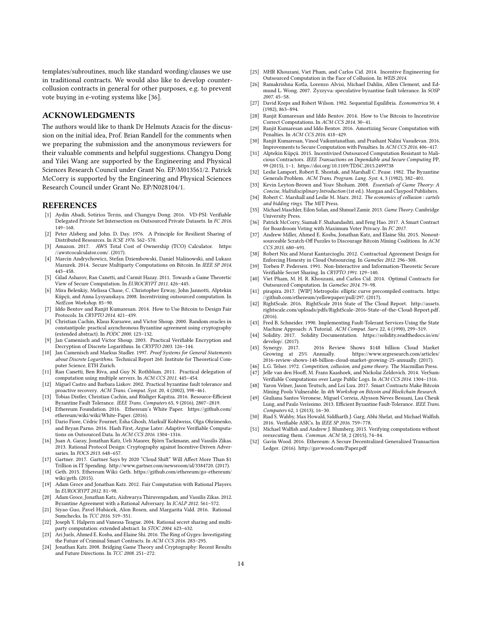templates/subroutines, much like standard wording/clauses we use in traditional contracts. We would also like to develop countercollusion contracts in general for other purposes, e.g. to prevent vote buying in e-voting systems like [\[36\]](#page-13-16).

# ACKNOWLEDGMENTS

The authors would like to thank Dr Helmuts Azacis for the discussion on the initial idea, Prof. Brian Randell for the comments when we preparing the submission and the anonymous reviewers for their valuable comments and helpful suggestions. Changyu Dong and Yilei Wang are supported by the Engineering and Physical Sciences Research Council under Grant No. EP/M013561/2. Patrick McCorry is supported by the Engineering and Physical Sciences Research Council under Grant No. EP/N028104/1.

#### **REFERENCES**

- <span id="page-13-21"></span>[1] Aydin Abadi, Sotirios Terzis, and Changyu Dong. 2016. VD-PSI: Verifiable Delegated Private Set Intersection on Outsourced Private Datasets. In FC 2016. 149–168.
- <span id="page-13-24"></span>[2] Peter Alsberg and John. D. Day. 1976. A Principle for Resilient Sharing of Distributed Resources. In ICSE 1976. 562–570.
- <span id="page-13-3"></span>[3] Amazon. 2017. AWS Total Cost of Ownership (TCO) Calculator. [https:](https://awstcocalculator.com/) [//awstcocalculator.com/.](https://awstcocalculator.com/) (2017).
- <span id="page-13-36"></span>[4] Marcin Andrychowicz, Stefan Dziembowski, Daniel Malinowski, and Lukasz Mazurek. 2014. Secure Multiparty Computations on Bitcoin. In IEEE SP 2014. 443–458.
- <span id="page-13-41"></span>[5] Gilad Asharov, Ran Canetti, and Carmit Hazay. 2011. Towards a Game Theoretic View of Secure Computation. In EUROCRYPT 2011. 426–445.
- <span id="page-13-13"></span>[6] Mira Belenkiy, Melissa Chase, C. Christopher Erway, John Jannotti, Alptekin Küpçü, and Anna Lysyanskaya. 2008. Incentivizing outsourced computation. In NetEcon Workshop. 85–90.
- <span id="page-13-37"></span>[7] Iddo Bentov and Ranjit Kumaresan. 2014. How to Use Bitcoin to Design Fair Protocols. In CRYPTO 2014. 421–439.
- <span id="page-13-25"></span>[8] Christian Cachin, Klaus Kursawe, and Victor Shoup. 2000. Random oracles in constantipole: practical asynchronous Byzantine agreement using cryptography (extended abstract). In PODC 2000. 123–132.
- <span id="page-13-18"></span>[9] Jan Camenisch and Victor Shoup. 2003. Practical Verifiable Encryption and Decryption of Discrete Logarithms. In CRYPTO 2003. 126–144.
- <span id="page-13-19"></span>[10] Jan Camenisch and Markus Stadler. 1997. Proof Systems for General Statements about Discrete Logarithms. Technical Report 260. Institute for Theoretical Computer Science, ETH Zurich.
- <span id="page-13-5"></span>[11] Ran Canetti, Ben Riva, and Guy N. Rothblum. 2011. Practical delegation of computation using multiple servers. In ACM CCS 2011. 445–454.
- [12] Miguel Castro and Barbara Liskov. 2002. Practical byzantine fault tolerance and proactive recovery. ACM Trans. Comput. Syst. 20, 4 (2002), 398–461.
- <span id="page-13-26"></span>[13] Tobias Distler, Christian Cachin, and Rüdiger Kapitza. 2016. Resource-Efficient Byzantine Fault Tolerance. IEEE Trans. Computers 65, 9 (2016), 2807–2819.
- <span id="page-13-11"></span>[14] Ethereum Foundation. 2016. Ethereum's White Paper. [https://github.com/](https://github.com/ethereum/wiki/wiki/White-Paper) [ethereum/wiki/wiki/White-Paper.](https://github.com/ethereum/wiki/wiki/White-Paper) (2016).
- <span id="page-13-22"></span>[15] Dario Fiore, Cédric Fournet, Esha Ghosh, Markulf Kohlweiss, Olga Ohrimenko, and Bryan Parno. 2016. Hash First, Argue Later: Adaptive Verifiable Computations on Outsourced Data. In ACM CCS 2016. 1304–1316.
- <span id="page-13-42"></span>[16] Juan A. Garay, Jonathan Katz, Ueli Maurer, Biörn Tackmann, and Vassilis Zikas. 2013. Rational Protocol Design: Cryptography against Incentive-Driven Adversaries. In FOCS 2013. 648–657.
- <span id="page-13-2"></span>[17] Gartner. 2017. Gartner Says by 2020 "Cloud Shift" Will Affect More Than \$1 Trillion in IT Spending. [http://www.gartner.com/newsroom/id/3384720.](http://www.gartner.com/newsroom/id/3384720) (2017).
- <span id="page-13-15"></span>[18] Geth. 2015. Ethereum Wiki: Geth. [https://github.com/ethereum/go-ethereum/](https://github.com/ethereum/go-ethereum/wiki/geth) [wiki/geth.](https://github.com/ethereum/go-ethereum/wiki/geth) (2015).
- <span id="page-13-43"></span>[19] Adam Groce and Jonathan Katz. 2012. Fair Computation with Rational Players. In EUROCRYPT 2012. 81–98.
- [20] Adam Groce, Jonathan Katz, Aishwarya Thiruvengadam, and Vassilis Zikas. 2012. Byzantine Agreement with a Rational Adversary. In ICALP 2012. 561–572.
- [21] Siyao Guo, Pavel Hubácek, Alon Rosen, and Margarita Vald. 2016. Rational Sumchecks. In TCC 2016. 319–351.
- <span id="page-13-44"></span>[22] Joseph Y. Halpern and Vanessa Teague. 2004. Rational secret sharing and multiparty computation: extended abstract. In STOC 2004. 623–632.
- <span id="page-13-48"></span>[23] Ari Juels, Ahmed E. Kosba, and Elaine Shi. 2016. The Ring of Gyges: Investigating the Future of Criminal Smart Contracts. In ACM CCS 2016. 283–295.
- <span id="page-13-45"></span>[24] Jonathan Katz. 2008. Bridging Game Theory and Cryptography: Recent Results and Future Directions. In TCC 2008. 251–272.
- <span id="page-13-35"></span>[25] MHR Khouzani, Viet Pham, and Carlos Cid. 2014. Incentive Engineering for Outsourced Computation in the Face of Collusion. In WEIS 2014.
- <span id="page-13-27"></span>[26] Ramakrishna Kotla, Lorenzo Alvisi, Michael Dahlin, Allen Clement, and Edmund L. Wong. 2007. Zyzzyva: speculative byzantine fault tolerance. In SOSP 2007. 45–58.
- <span id="page-13-10"></span>[27] David Kreps and Robert Wilson. 1982. Sequential Equilibria. Econometrica 50, 4 (1982), 863–894.
- <span id="page-13-40"></span>[28] Ranjit Kumaresan and Iddo Bentov. 2014. How to Use Bitcoin to Incentivize Correct Computations. In ACM CCS 2014. 30–41.
- <span id="page-13-38"></span>[29] Ranjit Kumaresan and Iddo Bentov. 2016. Amortizing Secure Computation with Penalties. In ACM CCS 2016. 418–429.
- <span id="page-13-39"></span>[30] Ranjit Kumaresan, Vinod Vaikuntanathan, and Prashant Nalini Vasudevan. 2016. Improvements to Secure Computation with Penalties. In ACM CCS 2016. 406–417.
- <span id="page-13-32"></span>[31] Alptekin Küpçü. 2015. Incentivized Outsourced Computation Resistant to Malicious Contractors. IEEE Transactions on Dependable and Secure Computing PP, 99 (2015), 1–1.<https://doi.org/10.1109/TDSC.2015.2499738>
- <span id="page-13-28"></span>[32] Leslie Lamport, Robert E. Shostak, and Marshall C. Pease. 1982. The Byzantine Generals Problem. ACM Trans. Program. Lang. Syst. 4, 3 (1982), 382–401.
- <span id="page-13-8"></span>[33] Kevin Leyton-Brown and Yoav Shoham. 2008. Essentials of Game Theory: A Concise, Multidisciplinary Introduction (1st ed.). Morgan and Claypool Publishers.
- <span id="page-13-7"></span>[34] Robert C. Marshall and Leslie M. Marx. 2012. The economics of collusion : cartels and bidding rings. The MIT Press.
- <span id="page-13-9"></span>[35] Michael Maschler, Eilon Solan, and Shmuel Zamir. 2013. Game Theory. Cambridge University Press.
- <span id="page-13-16"></span>[36] Patrick McCorry, Siamak F. Shahandashti, and Feng Hao. 2017. A Smart Contract for Boardroom Voting with Maximum Voter Privacy. In FC 2017.
- <span id="page-13-46"></span>[37] Andrew Miller, Ahmed E. Kosba, Jonathan Katz, and Elaine Shi. 2015. Nonoutsourceable Scratch-Off Puzzles to Discourage Bitcoin Mining Coalitions. In ACM CCS 2015. 680–691.
- <span id="page-13-33"></span>[38] Robert Nix and Murat Kantarcioglu. 2012. Contractual Agreement Design for Enforcing Honesty in Cloud Outsourcing. In GameSec 2012. 296–308.
- <span id="page-13-17"></span>[39] Torben P. Pedersen. 1991. Non-Interactive and Information-Theoretic Secure Verifiable Secret Sharing. In CRYPTO 1991. 129–140.
- <span id="page-13-34"></span>[40] Viet Pham, M. H. R. Khouzani, and Carlos Cid. 2014. Optimal Contracts for Outsourced Computation. In GameSec 2014. 79–98.
- <span id="page-13-20"></span>[41] pirapira. 2017. [WIP] Metropolis: elliptic curve precompiled contracts. [https:](https://github.com/ethereum/yellowpaper/pull/297) [//github.com/ethereum/yellowpaper/pull/297.](https://github.com/ethereum/yellowpaper/pull/297) (2017).
- <span id="page-13-0"></span>[42] RightScale. 2016. RightScale 2016 State of The Cloud Report. [http://assets.](http://assets.rightscale.com/uploads/pdfs/RightScale-2016-State-of-the-Cloud-Report.pdf) [rightscale.com/uploads/pdfs/RightScale-2016-State-of-the-Cloud-Report.pdf.](http://assets.rightscale.com/uploads/pdfs/RightScale-2016-State-of-the-Cloud-Report.pdf) (2016).
- <span id="page-13-29"></span>[43] Fred B. Schneider. 1990. Implementing Fault-Tolerant Services Using the State Machine Approach: A Tutorial. ACM Comput. Surv. 22, 4 (1990), 299–319.
- <span id="page-13-14"></span>[44] Solidity. 2017. Solidity Documentation. [https://solidity.readthedocs.io/en/](https://solidity.readthedocs.io/en/develop/) [develop/.](https://solidity.readthedocs.io/en/develop/) (2017).
- <span id="page-13-1"></span>[45] Synergy. 2017. 2016 Review Shows \$148 billion Cloud Market Growing at 25% Annually. [https://www.srgresearch.com/articles/](https://www.srgresearch.com/articles/2016-review-shows-148-billion-cloud-market-growing-25-annually) [2016-review-shows-148-billion-cloud-market-growing-25-annually.](https://www.srgresearch.com/articles/2016-review-shows-148-billion-cloud-market-growing-25-annually) (2017).
- <span id="page-13-6"></span>[46] L.G. Telser. 1972. Competition, collusion, and game theory. The Macmillan Press.
- <span id="page-13-30"></span>[47] Jelle van den Hooff, M. Frans Kaashoek, and Nickolai Zeldovich. 2014. VerSum:
- <span id="page-13-47"></span>Verifiable Computations over Large Public Logs. In ACM CCS 2014. 1304–1316. [48] Yaron Velner, Jason Teutsch, and Loi Luu. 2017. Smart Contracts Make Bitcoin
- <span id="page-13-31"></span>Mining Pools Vulnerable. In 4th Workshop on Bitcoin and Blockchain Research. [49] Giuliana Santos Veronese, Miguel Correia, Alysson Neves Bessani, Lau Cheuk Lung, and Paulo Veríssimo. 2013. Efficient Byzantine Fault-Tolerance. IEEE Trans.
- <span id="page-13-23"></span>Computers 62, 1 (2013), 16–30. [50] Riad S. Wahby, Max Howald, Siddharth J. Garg, Abhi Shelat, and Michael Walfish.
- 2016. Verifiable ASICs. In IEEE SP 2016. 759–778.
- <span id="page-13-4"></span>Michael Walfish and Andrew J. Blumberg. 2015. Verifying computations without reexecuting them. Commun. ACM 58, 2 (2015), 74-84.
- <span id="page-13-12"></span>[52] Gavin Wood. 2016. Ethereum: A Secure Decentralized Generalized Transaction Ledger. (2016).<http://gavwood.com/Paper.pdf>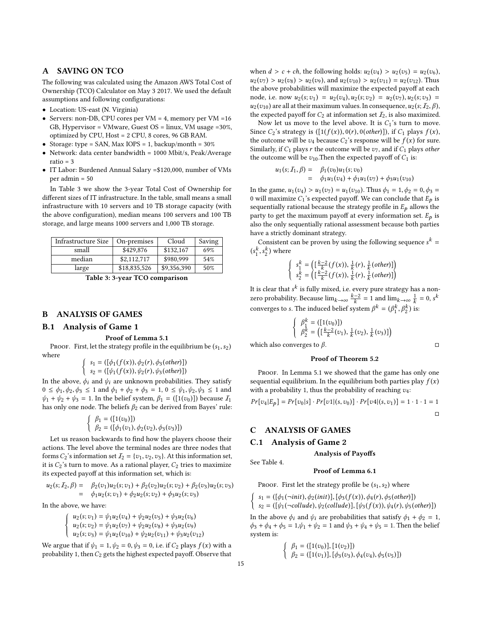### <span id="page-14-0"></span>A SAVING ON TCO

The following was calculated using the Amazon AWS Total Cost of Ownership (TCO) Calculator on May 3 2017. We used the default assumptions and following configurations:

- Location: US-east (N. Virginia)
- Servers: non-DB, CPU cores per  $VM = 4$ , memory per  $VM = 16$ GB, Hypervisor = VMware, Guest OS = linux, VM usage =30%, optimized by CPU, Host = 2 CPU, 8 cores, 96 GB RAM.
- Storage: type = SAN, Max IOPS = 1, backup/month =  $30\%$
- Network: data center bandwidth = 1000 Mbit/s, Peak/Average  $ratio = 3$
- IT Labor: Burdened Annual Salary =\$120,000, number of VMs per admin = 50

In Table [3](#page-14-3) we show the 3-year Total Cost of Ownership for different sizes of IT infrastructure. In the table, small means a small infrastructure with 10 servers and 10 TB storage capacity (with the above configuration), median means 100 servers and 100 TB storage, and large means 1000 servers and 1,000 TB storage.

<span id="page-14-3"></span>

| Infrastructure Size | On-premises  | Cloud       | Saving |
|---------------------|--------------|-------------|--------|
| small               | \$429,876    | \$132,167   | 69%    |
| median              | \$2,112,717  | \$980,999   | 54%    |
| large               | \$18,835,526 | \$9,356,390 | 50%    |

Table 3: 3-year TCO comparison

# B ANALYSIS OF GAMES

# <span id="page-14-1"></span>B.1 Analysis of Game 1

#### Proof of Lemma [5.1](#page-6-2)

PROOF. First, let the strategy profile in the equilibrium be  $(s_1, s_2)$ where

$$
\begin{cases}\ns_1 = ([\phi_1(f(x)), \phi_2(r), \phi_3(other)]) \\
s_2 = ([\psi_1(f(x)), \psi_2(r), \psi_3(other)])\n\end{cases}
$$

In the above,  $\phi_i$  and  $\psi_i$  are unknown probabilities. They satisfy  $0 \leq \phi_1, \phi_2, \phi_3 \leq 1$  and  $\phi_1 + \phi_2 + \phi_3 = 1$ ,  $0 \leq \psi_1, \psi_2, \psi_3 \leq 1$  and  $\psi_1 + \psi_2 + \psi_3 = 1$ . In the belief system,  $\beta_1 = (\lfloor 1(v_0) \rfloor)$  because  $\mathcal{I}_1$ has only one node. The beliefs  $\beta_2$  can be derived from Bayes' rule:

$$
\begin{cases} \beta_1 = ([1(v_0)]) \\ \beta_2 = ([\phi_1(v_1), \phi_2(v_2), \phi_3(v_3)]) \end{cases}
$$

Let us reason backwards to find how the players choose their actions. The level above the terminal nodes are three nodes that forms  $C_2$ 's information set  $\mathcal{I}_2 = \{v_1, v_2, v_3\}$ . At this information set, it is  $C_2$ 's turn to move. As a rational player,  $C_2$  tries to maximize its expected payoff at this information set, which is:

$$
u_2(s; I_2, \beta) = \beta_2(v_1)u_2(s; v_1) + \beta_2(v_2)u_2(s; v_2) + \beta_2(v_3)u_2(s; v_3)
$$
  
=  $\phi_1 u_2(s; v_1) + \phi_2 u_2(s; v_2) + \phi_3 u_2(s; v_3)$ 

In the above, we have:

$$
\begin{cases}\nu_2(s; \nu_1) = \psi_1 u_2(\nu_4) + \psi_2 u_2(\nu_5) + \psi_3 u_2(\nu_6) \\
u_2(s; \nu_2) = \psi_1 u_2(\nu_7) + \psi_2 u_2(\nu_8) + \psi_3 u_2(\nu_9) \\
u_2(s; \nu_3) = \psi_1 u_2(\nu_{10}) + \psi_2 u_2(\nu_{11}) + \psi_3 u_2(\nu_{12})\n\end{cases}
$$

We argue that if  $\psi_1 = 1, \psi_2 = 0, \psi_3 = 0$ , i.e. if  $C_2$  plays  $f(x)$  with a probability 1, then  $C_2$  gets the highest expected payoff. Observe that when  $d > c + ch$ , the following holds:  $u_2(v_4) > u_2(v_5) = u_2(v_6)$ ,  $u_2(v_7) > u_2(v_8) > u_2(v_9)$ , and  $u_2(v_{10}) > u_2(v_{11}) = u_2(v_{12})$ . Thus the above probabilities will maximize the expected payoff at each node, i.e. now  $u_2(s; v_1) = u_2(v_4), u_2(s; v_2) = u_2(v_7), u_2(s; v_3) =$  $u_2(v_{10})$  are all at their maximum values. In consequence,  $u_2(s; I_2, \beta)$ , the expected payoff for  $C_2$  at information set  $\mathcal{I}_2$ , is also maximized.

Now let us move to the level above. It is  $C_1$ 's turn to move. Since  $C_2$ 's strategy is  $([1(f(x)), 0(r), 0(\text{other})])$ , if  $C_1$  plays  $f(x)$ , the outcome will be  $v_4$  because  $C_2$ 's response will be  $f(x)$  for sure. Similarly, if  $C_1$  plays r the outcome will be  $v_7$ , and if  $C_1$  plays other the outcome will be  $v_{10}$ . Then the expected payoff of  $C_1$  is:

$$
u_1(s; I_1, \beta) = \beta_1(v_0)u_1(s; v_0)
$$
  
=  $\phi_1 u_1(v_4) + \phi_1 u_1(v_7) + \phi_3 u_1(v_{10})$ 

In the game,  $u_1(v_4) > u_1(v_7) = u_1(v_{10})$ . Thus  $\phi_1 = 1, \phi_2 = 0, \phi_3 = 1$ 0 will maximize  $C_1$ 's expected payoff. We can conclude that  $E_p$  is sequentially rational because the strategy profile in  $E_p$  allows the party to get the maximum payoff at every information set.  $E_p$  is also the only sequentially rational assessment because both parties have a strictly dominant strategy.

Consistent can be proven by using the following sequence  $s^k =$  $(s_1^k, s_2^k)$  where

$$
\begin{cases}\ns_1^k = \left( \left[ \frac{k-2}{k} (f(x)), \frac{1}{k} (r), \frac{1}{k} (other) \right] \right) \\
s_2^k = \left( \left[ \frac{k-2}{k} (f(x)), \frac{1}{k} (r), \frac{1}{k} (other) \right] \right)\n\end{cases}
$$

It is clear that  $s^k$  is fully mixed, i.e. every pure strategy has a nonzero probability. Because  $\lim_{k\to\infty} \frac{k-2}{k} = 1$  and  $\lim_{k\to\infty} \frac{1}{k} = 0$ , s<sup>k</sup> converges to s. The induced belief system  $\beta^k = (\beta_1^k, \beta_2^k)$  is:

$$
\left\{\begin{array}{l} \beta_1^k = ([1(v_0)]) \\ \beta_2^k = \left([\frac{k-2}{k}(v_1), \frac{1}{k}(v_2), \frac{1}{k}(v_3)]\right) \end{array}\right.
$$

which also converges to  $\beta$ .  $\Box$ 

# Proof of Theorem [5.2](#page-6-3)

PROOF. In Lemma [5.1](#page-6-2) we showed that the game has only one sequential equilibrium. In the equilibrium both parties play  $f(x)$ with a probability 1, thus the probability of reaching  $v_4$ :

$$
Pr[v_4|E_p] = Pr[v_0|s] \cdot Pr[v_1|(s,v_0)] \cdot Pr[v_4|(s,v_1)] = 1 \cdot 1 \cdot 1 = 1
$$

### C ANALYSIS OF GAMES

## <span id="page-14-2"></span>C.1 Analysis of Game 2

See Table [4.](#page-15-0)

#### Analysis of Payoffs

#### Proof of Lemma [6.1](#page-7-2)

PROOF. First let the strategy profile be  $(s_1, s_2)$  where

$$
\begin{cases}\ns_1 = ([\phi_1(\neg init), \phi_2(int)], [\phi_3(f(x)), \phi_4(r), \phi_5(other)]) \\
s_2 = ([\psi_1(\neg collude), \psi_2(collude)], [\psi_3(f(x)), \psi_4(r), \psi_5(other)])\n\end{cases}
$$

In the above  $\phi_i$  and  $\psi_i$  are probabilities that satisfy  $\phi_1 + \phi_2 = 1$ ,  $\phi_3 + \phi_4 + \phi_5 = 1, \psi_1 + \psi_2 = 1$  and  $\psi_3 + \psi_4 + \psi_5 = 1$ . Then the belief system is:

$$
\begin{cases} \beta_1 = ([1(v_0)], [1(v_2)]) \\ \beta_2 = ([1(v_1)], [\phi_3(v_3), \phi_4(v_4), \phi_5(v_5)]) \end{cases}
$$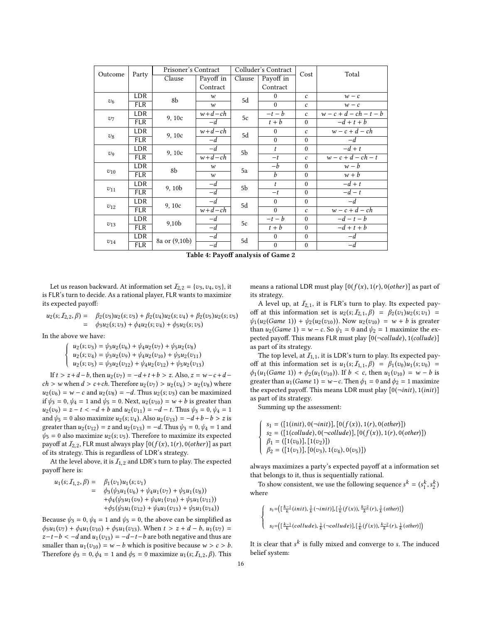<span id="page-15-0"></span>

| Outcome                | Party      | Prisoner's Contract |                  | Colluder's Contract |                  | Cost                    | Total                    |
|------------------------|------------|---------------------|------------------|---------------------|------------------|-------------------------|--------------------------|
|                        |            | Clause              | Payoff in        | Clause              | Payoff in        |                         |                          |
|                        |            |                     | Contract         |                     | Contract         |                         |                          |
|                        | <b>LDR</b> | 8b                  | $\boldsymbol{w}$ | 5d                  | $\mathbf{0}$     | $\mathcal{C}$           | $w - c$                  |
| v <sub>6</sub>         | <b>FLR</b> |                     | $\boldsymbol{w}$ |                     | $\theta$         | $\mathcal{C}$           | $w - c$                  |
|                        | LDR        | 9,10c               | $w+d-ch$         | 5c                  | $-t-b$           | $\mathcal{C}$           | $w - c + d - ch - t - b$ |
| $v_7$                  | <b>FLR</b> |                     | $-d$             |                     | $t + b$          | $\theta$                | $-d+t+b$                 |
|                        | LDR        | 9,10c               | $w+d-ch$         | 5d                  | $\mathbf{0}$     | $\mathcal{C}_{0}^{(1)}$ | $w-c+d-ch$               |
| $v_8$                  | <b>FLR</b> |                     | $-d$             |                     | $\mathbf{0}$     | $\theta$                | $-d$                     |
|                        | LDR        | 9,10c               | $-d$             | 5b                  | $\boldsymbol{t}$ | $\theta$                | $-d+t$                   |
| $\mathcal{D}^{\Omega}$ | <b>FLR</b> |                     | $w+d-ch$         |                     | $-t$             | $\mathcal{C}_{0}$       | $w-c+d-ch-t$             |
|                        | LDR        | 8b                  | $\boldsymbol{w}$ | 5a                  | $-b$             | $\theta$                | $w - b$                  |
| $v_{10}$               | <b>FLR</b> |                     | $\boldsymbol{w}$ |                     | $\overline{b}$   | $\theta$                | $w + b$                  |
|                        | <b>LDR</b> | 9, 10b              | $-d$             | 5b                  | $\boldsymbol{t}$ | $\theta$                | $-d+t$                   |
| $v_{11}$               | <b>FLR</b> |                     | $-d$             |                     | $-t$             | $\boldsymbol{0}$        | $-d-t$                   |
|                        | LDR        | 9,10c               | $-d$             | 5d                  | $\theta$         | $\theta$                | $-d$                     |
| $v_{12}$               | <b>FLR</b> |                     | $w+d-ch$         |                     | $\theta$         | $\mathcal{C}_{0}$       | $w-c+d-ch$               |
|                        | <b>LDR</b> | 9,10 <sub>b</sub>   | $-d$             | 5c                  | $-t-b$           | $\Omega$                | $-d-t-b$                 |
| $v_{13}$               | <b>FLR</b> |                     | $-d$             |                     | $t + b$          | $\theta$                | $-d+t+b$                 |
|                        | LDR        | 8a or (9,10b)       | $-d$             | 5d                  | $\mathbf{0}$     | $\mathbf{0}$            | $-d$                     |
| $v_{14}$               | <b>FLR</b> |                     | $-d$             |                     | $\mathbf{0}$     | $\mathbf{0}$            | $-d$                     |

Table 4: Payoff analysis of Game 2

Let us reason backward. At information set  $\mathcal{I}_{2,2} = \{v_3,v_4,v_5\}$ , it is FLR's turn to decide. As a rational player, FLR wants to maximize its expected payoff:

$$
u_2(s; I_{2,2}, \beta) = \beta_2(v_3)u_2(s; v_3) + \beta_2(v_4)u_2(s; v_4) + \beta_2(v_5)u_2(s; v_5)
$$
  
=  $\phi_3u_2(s; v_3) + \phi_4u_2(s; v_4) + \phi_5u_2(s; v_5)$ 

In the above we have:

$$
\begin{cases}\nu_2(s; v_3) = \psi_3 u_2(v_6) + \psi_4 u_2(v_7) + \psi_5 u_2(v_8) \\
u_2(s; v_4) = \psi_3 u_2(v_9) + \psi_4 u_2(v_{10}) + \psi_5 u_2(v_{11}) \\
u_2(s; v_5) = \psi_3 u_2(v_{12}) + \psi_4 u_2(v_{12}) + \psi_5 u_2(v_{13})\n\end{cases}
$$

If  $t > z + d - b$ , then  $u_2(v_7) = -d + t + b > z$ . Also,  $z = w - c + d - b$  $ch > w$  when  $d > c + ch$ . Therefore  $u_2(v_7) > u_2(v_6) > u_2(v_8)$  where  $u_2(v_6) = w - c$  and  $u_2(v_8) = -d$ . Thus  $u_2(s; v_3)$  can be maximized if  $\psi_3 = 0$ ,  $\psi_4 = 1$  and  $\psi_5 = 0$ . Next,  $u_2(v_{10}) = w + b$  is greater than  $u_2(v_9) = z - t < -d + b$  and  $u_2(v_{11}) = -d - t$ . Thus  $\psi_3 = 0$ ,  $\psi_4 = 1$ and  $\psi_5 = 0$  also maximize  $u_2(s; v_4)$ . Also  $u_2(v_{13}) = -d + b - b > z$  is greater than  $u_2(v_{12}) = z$  and  $u_2(v_{13}) = -d$ . Thus  $\psi_3 = 0$ ,  $\psi_4 = 1$  and  $\psi_5 = 0$  also maximize  $u_2(s; v_5)$ . Therefore to maximize its expected payoff at  $\mathcal{I}_{2,2}$ , FLR must always play  $[0(f(x), 1(r), 0(\text{other})]$  as part of its strategy. This is regardless of LDR's strategy.

At the level above, it is  $I_{1,2}$  and LDR's turn to play. The expected payoff here is:

$$
u_1(s; I_{1,2}, \beta) = \beta_1(v_1)u_1(s; v_1)
$$
  
=  $\phi_3(\psi_3 u_1(v_6) + \psi_4 u_1(v_7) + \psi_5 u_1(v_8))$   
+  $\phi_4(\psi_3 u_1(v_9) + \psi_4 u_1(v_{10}) + \psi_5 u_1(v_{11}))$   
+  $\phi_5(\psi_3 u_1(v_{12}) + \psi_4 u_1(v_{13}) + \psi_5 u_1(v_{14}))$ 

Because  $\psi_3 = 0$ ,  $\psi_4 = 1$  and  $\psi_5 = 0$ , the above can be simplified as  $\phi_3u_1(v_7) + \phi_4u_1(v_{10}) + \phi_5u_1(v_{13})$ . When  $t > z + d - b$ ,  $u_1(v_7) =$  $z-t-b < -d$  and  $u_1(v_{13}) = -d-t-b$  are both negative and thus are smaller than  $u_1(v_{10}) = w - b$  which is positive because  $w > c > b$ . Therefore  $\phi_3 = 0$ ,  $\phi_4 = 1$  and  $\phi_5 = 0$  maximize  $u_1(s; I_{1,2}, \beta)$ . This

means a rational LDR must play  $[0(f(x), 1(r), 0(\text{other})]$  as part of its strategy.

A level up, at  $I_{2,1}$ , it is FLR's turn to play. Its expected payoff at this information set is  $u_2(s; I_{2,1}, \beta) = \beta_2(v_1)u_2(s; v_1) =$  $\psi_1(u_2(Game 1)) + \psi_2(u_2(v_{10}))$ . Now  $u_2(v_{10}) = w + b$  is greater than  $u_2(Game 1) = w - c$ . So  $\psi_1 = 0$  and  $\psi_2 = 1$  maximize the expected payoff. This means FLR must play  $[0(-\text{collude}), 1(\text{collude})]$ as part of its strategy.

The top level, at  $I_{1,1}$ , it is LDR's turn to play. Its expected payoff at this information set is  $u_1(s; I_{1,1}, \beta) = \beta_1(v_0)u_1(s; v_0)$  $\phi_1(u_1(Game 1)) + \phi_2(u_1(v_{10}))$ . If  $b < c$ , then  $u_1(v_{10}) = w - b$  is greater than  $u_1(Game 1) = w - c$ . Then  $\phi_1 = 0$  and  $\phi_2 = 1$  maximize the expected payoff. This means LDR must play  $[0(-init), 1(int)]$ as part of its strategy.

Summing up the assessment:

$$
\begin{cases}\ns_1 = ([1(int), 0(\neg init)], [0(f(x)), 1(r), 0(other)]) \\
s_2 = ([1(collude), 0(\neg collude)], [0(f(x)), 1(r), 0(other)]) \\
\beta_1 = ([1(v_0)], [1(v_2)]) \\
\beta_2 = ([1(v_1)], [0(v_3), 1(v_4), 0(v_5)])\n\end{cases}
$$

always maximizes a party's expected payoff at a information set that belongs to it, thus is sequentially rational.

To show consistent, we use the following sequence  $s^k = (s_1^k, s_2^k)$ where

$$
\begin{cases}\ns_1 = (\left[\frac{k-1}{k}(init), \frac{1}{k}(-init)\right], \left[\frac{1}{k}(f(x)), \frac{k-2}{k}(r), \frac{1}{k}(other)\right] \\
s_2 = (\left[\frac{k-1}{k}(collude), \frac{1}{k}(-collude)\right], \left[\frac{1}{k}(f(x)), \frac{k-2}{k}(r), \frac{1}{k}(other)\right]\n\end{cases}
$$

It is clear that  $s^k$  is fully mixed and converge to  $s$ . The induced belief system: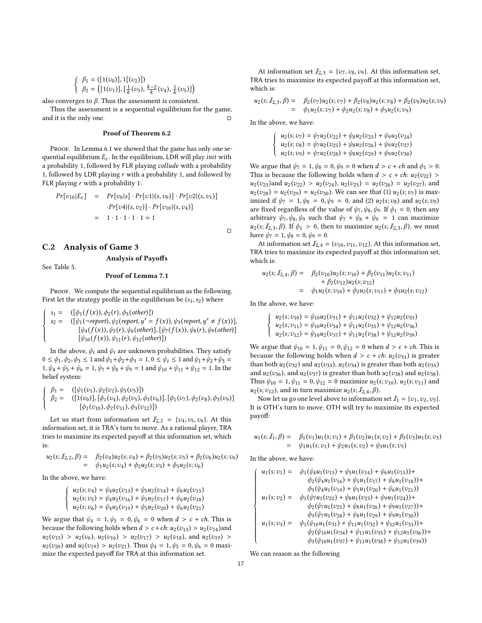$$
\begin{cases} \beta_1 = ([1(v_0)], 1[(v_2)]) \\ \beta_2 = ([1(v_1)], [\frac{1}{k}(v_3), \frac{k-2}{k}(v_4), \frac{1}{k}(v_5)] \end{cases}
$$

also converges to  $\beta$ . Thus the assessment is consistent.

Thus the assessment is a sequential equilibrium for the game, and it is the only one.  $\Box$ 

### Proof of Theorem [6.2](#page-7-6)

PROOF. In Lemma [6.1](#page-7-2) we showed that the game has only one sequential equilibrium  $E_c$ . In the equilibrium, LDR will play *init* with a probability 1, followed by FLR playing collude with a probability 1, followed by LDR playing  $r$  with a probability 1, and followed by FLR playing  $r$  with a probability 1:

$$
Pr[v_{10}|E_c] = Pr[v_0|s] \cdot Pr[v1|(s, v_0)] \cdot Pr[v2|(s, v_1)]
$$

$$
\cdot Pr[v4|(s, v_2)] \cdot Pr[v_{10}|(s, v_4)]
$$

$$
= 1 \cdot 1 \cdot 1 \cdot 1 \cdot 1 = 1
$$

# <span id="page-16-0"></span>C.2 Analysis of Game 3

See Table [5.](#page-17-0)

# Proof of Lemma [7.1](#page-9-1)

Analysis of Payoffs

PROOF. We compute the sequential equilibrium as the following. First let the strategy profile in the equilibrium be  $(s_1, s_2)$  where

$$
\begin{cases}\ns_1 = & ([\phi_1(f(x)), \phi_2(r), \phi_3(other)]) \\
s_2 = & ([\psi_1(\neg report), \psi_2(report, y' = f(x)), \psi_3(report, y' \neq f(x))], \\
[\psi_4(f(x)), \psi_5(r), \psi_6(other)], [\psi_7(f(x)), \psi_8(r), \psi_9(other)] \\
[\psi_{10}(f(x)), \psi_{11}(r), \psi_{12}(other)])\n\end{cases}
$$

In the above,  $\phi_i$  and  $\psi_i$  are unknown probabilities. They satisfy  $0 \le \phi_1, \phi_2, \phi_3 \le 1$  and  $\phi_1 + \phi_2 + \phi_3 = 1$ ,  $0 \le \psi_i \le 1$  and  $\psi_1 + \psi_2 + \psi_3 = 1$ 1,  $\psi_4 + \psi_5 + \psi_6 = 1$ ,  $\psi_7 + \psi_8 + \psi_9 = 1$  and  $\psi_{10} + \psi_{11} + \psi_{12} = 1$ . In the belief system:

$$
\begin{cases}\n\beta_1 = & ([\psi_1(v_1), \psi_2(v_2), \psi_3(v_3)]) \\
\beta_2 = & ([1(v_0)], [\phi_1(v_4), \phi_2(v_5), \phi_3(v_6)], [\phi_1(v_7), \phi_2(v_8), \phi_3(v_9)] \\
& [\phi_1(v_{10}), \phi_2(v_{11}), \phi_3(v_{12})])\n\end{cases}
$$

Let us start from information set  $\mathcal{I}_{2,2} = \{v_4, v_5, v_6\}$ . At this information set, it is TRA's turn to move. As a rational player, TRA tries to maximize its expected payoff at this information set, which is:

$$
u_2(s; I_{2,2}, \beta) = \beta_2(v_4)u_2(s; v_4) + \beta_2(v_5)u_2(s; v_5) + \beta_2(v_6)u_2(s; v_6)
$$
  
=  $\phi_1u_2(s; v_4) + \phi_2u_2(s; v_5) + \phi_3u_2(s; v_6)$ 

In the above, we have:

$$
\begin{cases}\nu_2(s; \nu_4) = \psi_4 u_2(\nu_{13}) + \psi_5 u_2(\nu_{14}) + \psi_6 u_2(\nu_{15}) \\
u_2(s; \nu_5) = \psi_4 u_2(\nu_{16}) + \psi_5 u_2(\nu_{17}) + \psi_6 u_2(\nu_{18}) \\
u_2(s; \nu_6) = \psi_4 u_2(\nu_{19}) + \psi_5 u_2(\nu_{20}) + \psi_6 u_2(\nu_{21})\n\end{cases}
$$

We argue that  $\psi_4 = 1, \psi_5 = 0, \psi_6 = 0$  when  $d > c + ch$ . This is because the following holds when  $d > c + ch$ :  $u_2(v_{13}) > u_2(v_{14})$  and  $u_2(v_{13}) > u_2(v_6), u_2(v_{16}) > u_2(v_{17}) > u_2(v_{18}),$  and  $u_2(v_{19}) > u_2(v_{19})$  $u_2(v_{20})$  and  $u_2(v_{19}) > u_2(v_{21})$ . Thus  $\psi_4 = 1, \psi_5 = 0, \psi_6 = 0$  maximize the expected payoff for TRA at this information set.

At information set  $I_{2,3} = \{v_7, v_8, v_9\}$ . At this information set, TRA tries to maximize its expected payoff at this information set, which is:

$$
u_2(s; I_{2,3}, \beta) = \beta_2(v_7)u_2(s; v_7) + \beta_2(v_8)u_2(s; v_8) + \beta_2(v_9)u_2(s; v_9)
$$
  
=  $\phi_1 u_2(s; v_7) + \phi_2 u_2(s; v_8) + \phi_3 u_2(s; v_9)$ 

In the above, we have:

$$
\begin{cases}\nu_2(s; \nu_7) = \sqrt{\nu_1 u_2(\nu_{22}) + \sqrt{\nu_2 u_2(\nu_{23}) + \sqrt{\nu_3 u_2(\nu_{24})}} \\
u_2(s; \nu_8) = \sqrt{\nu_1 u_2(\nu_{25}) + \sqrt{\nu_3 u_2(\nu_{26}) + \sqrt{\nu_3 u_2(\nu_{27})}} \\
u_2(s; \nu_9) = \sqrt{\nu_1 u_2(\nu_{28}) + \sqrt{\nu_3 u_2(\nu_{29}) + \sqrt{\nu_3 u_2(\nu_{30})}}}\n\end{cases}
$$

We argue that  $\psi_7 = 1$ ,  $\psi_8 = 0$ ,  $\psi_9 = 0$  when  $d > c + ch$  and  $\phi_1 > 0$ . This is because the following holds when  $d > c + ch$ :  $u_2(v_{22}) >$  $u_2(v_{23})$  and  $u_2(v_{22}) > u_2(v_{24})$ ,  $u_2(v_{25}) = u_2(v_{26}) = u_2(v_{27})$ , and  $u_2(v_{28}) = u_2(v_{29}) = u_2(v_{30})$ . We can see that (1)  $u_2(s; v_7)$  is maximized if  $\psi_7 = 1, \psi_8 = 0, \psi_9 = 0$ , and (2)  $u_2(s; v_8)$  and  $u_2(s; v_9)$ are fixed regardless of the value of  $\psi_7, \psi_8, \psi_9$ . If  $\phi_1 = 0$ , then any arbitrary  $\psi_7, \psi_8, \psi_9$  such that  $\psi_7 + \psi_8 + \psi_9 = 1$  can maximize  $u_2(s; I_{2,3}, \beta)$ . If  $\phi_1 > 0$ , then to maximize  $u_2(s; I_{2,3}, \beta)$ , we must have  $\psi_7 = 1, \psi_8 = 0, \psi_9 = 0.$ 

At information set  $\mathcal{I}_{2,4} = \{v_{10}, v_{11}, v_{12}\}$ . At this information set, TRA tries to maximize its expected payoff at this information set, which is:

$$
u_2(s; I_{2,4}, \beta) = \beta_2(v_{10})u_2(s; v_{10}) + \beta_2(v_{11})u_2(s; v_{11}) + \beta_2(v_{12})u_2(s; v_{12}) = \phi_1u_2(s; v_{10}) + \phi_2u_2(s; v_{11}) + \phi_3u_2(s; v_{12})
$$

In the above, we have:

 $\overline{1}$ J í  $\overline{\mathcal{L}}$ 

□

$$
u_2(s; v_{10}) = \psi_{10}u_2(v_{31}) + \psi_{11}u_2(v_{32}) + \psi_{12}u_2(v_{33})
$$
  
\n
$$
u_2(s; v_{11}) = \psi_{10}u_2(v_{34}) + \psi_{11}u_2(v_{35}) + \psi_{12}u_2(v_{36})
$$
  
\n
$$
u_2(s; v_{12}) = \psi_{10}u_2(v_{37}) + \psi_{11}u_2(v_{38}) + \psi_{12}u_2(v_{39})
$$

We argue that  $\psi_{10} = 1, \psi_{11} = 0, \psi_{12} = 0$  when  $d > c + ch$ . This is because the following holds when  $d > c + ch$ :  $u_2(v_{31})$  is greater than both  $u_2(v_{32})$  and  $u_2(v_{33})$ ,  $u_2(v_{34})$  is greater than both  $u_2(v_{35})$ and  $u_2(v_{36})$ , and  $u_2(v_{37})$  is greater than both  $u_2(v_{38})$  and  $u_2(v_{38})$ . Thus  $\psi_{10} = 1, \psi_{11} = 0, \psi_{12} = 0$  maximize  $u_2(s; v_{10}), u_2(s; v_{11})$  and  $u_2(s; v_{12})$ , and in turn maximize  $u_2(s; \mathcal{I}_{2,4}, \beta)$ .

Now let us go one level above to information set  $I_1 = \{v_1, v_2, v_3\}$ . It is OTH's turn to move. OTH will try to maximize its expected payoff:

$$
u_1(s; I_1, \beta) = \beta_1(v_1)u_1(s; v_1) + \beta_1(v_2)u_1(s; v_2) + \beta_3(v_3)u_1(s; v_3)
$$
  
=  $\psi_1u_1(s; v_1) + \psi_2u_1(s; v_2) + \psi_3u_1(s; v_3)$ 

In the above, we have:

$$
\begin{cases}\nu_1(s; \upsilon_1) = \phi_1(\psi_4 u_1(\upsilon_{13}) + \psi_5 u_1(\upsilon_{14}) + \psi_6 u_1(\upsilon_{15})) + \\
\phi_2(\psi_4 u_1(\upsilon_{16}) + \psi_5 u_1(\upsilon_{17}) + \psi_6 u_1(\upsilon_{18})) + \\
\phi_3(\psi_4 u_1(\upsilon_{19}) + \psi_5 u_1(\upsilon_{20}) + \psi_6 u_1(\upsilon_{21})) \\
u_1(s; \upsilon_2) = \phi_1(\psi_7 u_1(\upsilon_{22}) + \psi_8 u_1(\upsilon_{23}) + \psi_9 u_1(\upsilon_{24})) + \\
\phi_2(\psi_7 u_1(\upsilon_{25}) + \psi_8 u_1(\upsilon_{26}) + \psi_9 u_1(\upsilon_{27})) + \\
\phi_3(\psi_7 u_1(\upsilon_{23}) + \psi_1 u_1(\upsilon_{23}) + \psi_1 2 u_1(\upsilon_{30})) \\
u_1(s; \upsilon_3) = \phi_1(\psi_1 \omega_{11}(\upsilon_{31}) + \psi_{11} u_1(\upsilon_{32}) + \psi_{12} u_1(\upsilon_{33})) + \\
\phi_2(\psi_1 \omega_{11}(\upsilon_{34}) + \psi_{11} u_1(\upsilon_{35}) + \psi_{12} u_1(\upsilon_{36})) + \\
\phi_3(\psi_1 \omega_1(\upsilon_{37}) + \psi_{11} u_1(\upsilon_{38}) + \psi_{12} u_1(\upsilon_{39}))\n\end{cases}
$$

We can reason as the following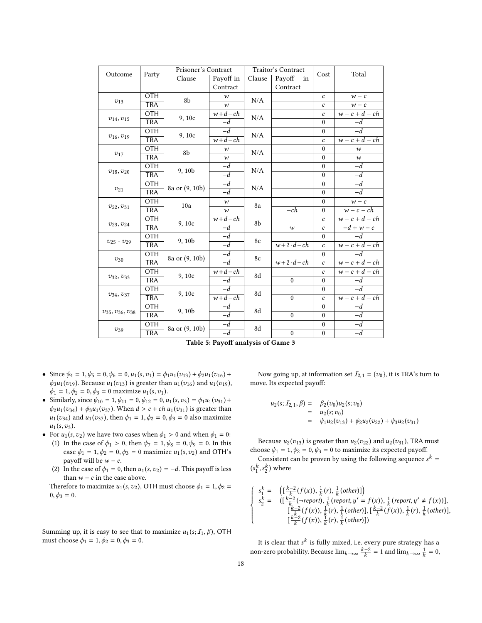<span id="page-17-0"></span>

|                          |            | Prisoner's Contract |                      |          | Traitor's Contract | Cost                    |                  |
|--------------------------|------------|---------------------|----------------------|----------|--------------------|-------------------------|------------------|
| Outcome                  | Party      | Clause              | Payoff in            | Clause   | Payoff<br>in       |                         | Total            |
|                          |            |                     | Contract             |          | Contract           |                         |                  |
|                          | <b>OTH</b> | 8b                  | $\boldsymbol{w}$     | N/A      |                    | $\mathcal{C}$           | $w - c$          |
| $v_{13}$                 | <b>TRA</b> |                     | $\boldsymbol{w}$     |          |                    | $\mathcal{C}_{0}^{(n)}$ | $w - c$          |
|                          | <b>OTH</b> | 9,10c               | $\overline{w}$ +d-ch | N/A      |                    | $\mathcal{C}$           | $w-c+d-ch$       |
| $v_{14}, v_{15}$         | <b>TRA</b> |                     | $-d$                 |          |                    | $\theta$                | $-d$             |
|                          | <b>OTH</b> | 9,10c               | $-d$                 | N/A      |                    | $\mathbf{0}$            | $-d$             |
| $v_{16}, v_{19}$         | <b>TRA</b> |                     | $w+d-ch$             |          |                    | $\mathcal{C}_{0}$       | $w-c+d-ch$       |
|                          | <b>OTH</b> | 8b                  | w                    | N/A      |                    | $\theta$                | $\boldsymbol{w}$ |
| $v_{17}$                 | <b>TRA</b> |                     | $\boldsymbol{w}$     |          |                    | $\theta$                | $\boldsymbol{w}$ |
|                          | OTH        | 9, 10 <sub>b</sub>  | $-d$                 | N/A      |                    | $\theta$                | $-d$             |
| $v_{18}, v_{20}$         | <b>TRA</b> |                     | $-d$                 |          |                    | $\mathbf{0}$            | $-d$             |
|                          | <b>OTH</b> |                     | $-d$                 | N/A      |                    | $\theta$                | $-d$             |
| $v_{21}$                 | <b>TRA</b> | 8a or (9, 10b)      | $-d$                 |          |                    | $\theta$                | $-d$             |
|                          | <b>OTH</b> | 10a                 | $\boldsymbol{w}$     | 8a       |                    | $\boldsymbol{0}$        | $w - c$          |
| $v_{22}, v_{31}$         | <b>TRA</b> |                     | $\boldsymbol{w}$     |          | $-ch$              | $\mathbf{0}$            | $w - c - ch$     |
|                          | <b>OTH</b> | 9,10c               | $w+d-ch$             | 8b       |                    | $\boldsymbol{c}$        | $w-c+d-ch$       |
| $v_{23}, v_{24}$         | <b>TRA</b> |                     | $-d$                 |          | $\boldsymbol{w}$   | $\mathcal{C}_{0}$       | $-d + w - c$     |
|                          | <b>OTH</b> | 9, 10b              | $-d$                 | 8c       |                    | $\theta$                | $-d$             |
| $v_{25}$ - $v_{29}$      | <b>TRA</b> |                     | $-d$                 |          | $w+2\cdot d-ch$    | $\mathcal{C}$           | $w-c+d-ch$       |
|                          | <b>OTH</b> | 8a or (9, 10b)      | $-d$                 | 8c       |                    | $\mathbf{0}$            | $-d$             |
| $v_{30}$                 | <b>TRA</b> |                     | $-d$                 |          | $w+2\cdot d$ – ch  | $\mathcal{C}$           | $w-c+d-ch$       |
|                          | <b>OTH</b> | 9,10c               | $w+d-ch$             | 8d       |                    | $\mathcal{C}_{0}$       | $w-c+d-ch$       |
| $v_{32}, v_{33}$         | <b>TRA</b> |                     | $-d$                 |          | $\theta$           | $\theta$                | $-d$             |
| $v_{34}, v_{37}$         | <b>OTH</b> | 9, 10c              | $-d$                 | 8d       |                    | $\mathbf{0}$            | $-d$             |
|                          | <b>TRA</b> |                     |                      | $w+d-ch$ |                    | $\mathcal{C}_{0}$       | $w-c+d-ch$       |
|                          | <b>OTH</b> | 9, 10 <sub>b</sub>  | $-d$                 | 8d       |                    | $\boldsymbol{0}$        | $-d$             |
| $v_{35}, v_{36}, v_{38}$ | <b>TRA</b> |                     | $\overline{-d}$      |          | $\theta$           | $\theta$                | $-d$             |
|                          | OTH        | 8a or (9, 10b)      | $-d$                 | 8d       |                    | $\mathbf{0}$            | $-\overline{d}$  |
| $v_{39}$                 | <b>TRA</b> |                     | $-d$                 |          | $\boldsymbol{0}$   | $\boldsymbol{0}$        | $-d$             |

Table 5: Payoff analysis of Game 3

- Since  $\psi_4 = 1, \psi_5 = 0, \psi_6 = 0, u_1(s, v_1) = \phi_1 u_1(v_{13}) + \phi_2 u_1(v_{16}) +$  $\phi_3 u_1(v_{19})$ . Because  $u_1(v_{13})$  is greater than  $u_1(v_{16})$  and  $u_1(v_{19})$ ,  $\phi_1 = 1, \phi_2 = 0, \phi_3 = 0$  maximize  $u_1(s, v_1)$ .
- Similarly, since  $\psi_{10} = 1, \psi_{11} = 0, \psi_{12} = 0, u_1(s, v_3) = \phi_1 u_1(v_{31}) +$  $\phi_2 u_1 (v_{34}) + \phi_3 u_1 (v_{37})$ . When  $d > c + ch u_1 (v_{31})$  is greater than  $u_1(v_{34})$  and  $u_1(v_{37})$ , then  $\phi_1 = 1, \phi_2 = 0, \phi_3 = 0$  also maximize  $u_1 (s, v_3)$ .
- For  $u_1(s, v_2)$  we have two cases when  $\phi_1 > 0$  and when  $\phi_1 = 0$ :
	- (1) In the case of  $\phi_1 > 0$ , then  $\psi_7 = 1, \psi_8 = 0, \psi_9 = 0$ . In this case  $\phi_1 = 1, \phi_2 = 0, \phi_3 = 0$  maximize  $u_1(s, v_2)$  and OTH's payoff will be  $w - c$ .
	- (2) In the case of  $\phi_1 = 0$ , then  $u_1(s, v_2) = -d$ . This payoff is less than  $w - c$  in the case above.

Therefore to maximize  $u_1(s, v_2)$ , OTH must choose  $\phi_1 = 1, \phi_2 =$  $0, \phi_3 = 0.$ 

Summing up, it is easy to see that to maximize  $u_1(s; I_1, \beta)$ , OTH must choose  $\phi_1 = 1, \phi_2 = 0, \phi_3 = 0.$ 

Now going up, at information set  $I_{2,1} = \{v_0\}$ , it is TRA's turn to move. Its expected payoff:

$$
u_2(s; I_{2,1}, \beta) = \beta_2(v_0)u_2(s; v_0)
$$
  
=  $u_2(s; v_0)$   
=  $\psi_1 u_2(v_{13}) + \psi_2 u_2(v_{22}) + \psi_3 u_2(v_{31})$ 

Because  $u_2(v_{13})$  is greater than  $u_2(v_{22})$  and  $u_2(v_{31})$ , TRA must choose  $\psi_1 = 1, \psi_2 = 0, \psi_3 = 0$  to maximize its expected payoff.

Consistent can be proven by using the following sequence  $s^k =$  $(s_1^k, s_2^k)$  where

$$
\begin{cases}\ns_1^k = \left( \left[ \frac{k-2}{k} (f(x)), \frac{1}{k} (r), \frac{1}{k} (other) \right] \right) \\
s_2^k = \left( \left[ \frac{k-2}{k} (-report), \frac{1}{k} (report, y' = f(x)), \frac{1}{k} (report, y' \neq f(x)) \right], \\
\left[ \frac{k-2}{k} (f(x)), \frac{1}{k} (r), \frac{1}{k} (other) \right], \left[ \frac{k-2}{k} (f(x)), \frac{1}{k} (r), \frac{1}{k} (other) \right], \\
\left[ \frac{k-2}{k} (f(x)), \frac{1}{k} (r), \frac{1}{k} (other) \right]\n\end{cases}
$$

It is clear that  $s^k$  is fully mixed, i.e. every pure strategy has a non-zero probability. Because  $\lim_{k \to \infty} \frac{k-2}{k} = 1$  and  $\lim_{k \to \infty} \frac{1}{k} = 0$ ,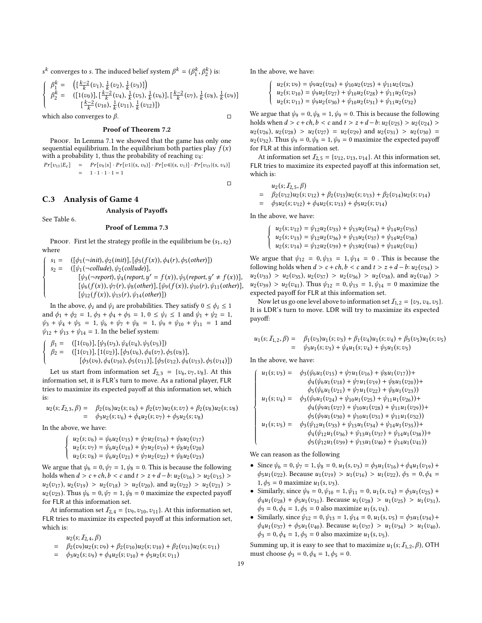s<sup>k</sup> converges to s. The induced belief system  $β<sup>k</sup> = (β<sub>1</sub><sup>k</sup>, β<sub>2</sub><sup>k</sup>)$  is:

$$
\begin{cases}\n\beta_1^k = \left( \left[ \frac{k-2}{k} (v_1), \frac{1}{k} (v_2), \frac{1}{k} (v_3) \right] \right) \\
\beta_2^k = \left( \left[ 1 (v_0) \right], \left[ \frac{k-2}{k} (v_4), \frac{1}{k} (v_5), \frac{1}{k} (v_6) \right], \left[ \frac{k-2}{k} (v_7), \frac{1}{k} (v_8), \frac{1}{k} (v_9) \right] \\
\left[ \frac{k-2}{k} (v_{10}), \frac{1}{k} (v_{11}), \frac{1}{k} (v_{12}) \right] \right)\n\end{cases}
$$
\nwhich also converges to  $\beta$ .

### Proof of Theorem [7.2](#page-9-3)

PROOF. In Lemma [7.1](#page-9-1) we showed that the game has only one sequential equilibrium. In the equilibrium both parties play  $f(x)$ with a probability 1, thus the probability of reaching  $v_4$ :

$$
Pr[v_{13}|E_c] = Pr[v_0|s] \cdot Pr[v1|(s, v_0)] \cdot Pr[v4|(s, v_1)] \cdot Pr[v_{13}|(s, v_4)]
$$
  
= 1 \cdot 1 \cdot 1 \cdot 1 = 1

□

# <span id="page-18-0"></span>C.3 Analysis of Game 4

See Table [6.](#page-19-0)

# Analysis of Payoffs

#### Proof of Lemma [7.3](#page-10-1)

PROOF. First let the strategy profile in the equilibrium be  $(s_1, s_2)$ where

$$
\begin{cases}\ns_1 = & ([\phi_1(\neg init), \phi_2(int)], [\phi_3(f(x)), \phi_4(r), \phi_5(other)]) \\
s_2 = & ([\psi_1(\neg collude), \psi_2(collude)], \\
& [ \psi_3(\neg report), \psi_4(report, y' = f(x)), \psi_5(report, y' \neq f(x))], \\
& [ \psi_6(f(x)), \psi_7(r), \psi_8(other)], [\psi_9(f(x)), \psi_{10}(r), \psi_{11(other)}], \\
& [ \psi_{12}(f(x)), \psi_{13}(r), \psi_{14(other)}] \n\end{cases}
$$

In the above,  $\phi_i$  and  $\psi_i$  are probabilities. They satisfy  $0 \le \phi_i \le 1$ <br>of  $\phi_{i+1}$ ,  $\phi_{i+2}$ ,  $\phi_{i+1}$ ,  $\phi_{i+2}$ ,  $\phi_{i+1}$ ,  $\phi_{i+1}$ ,  $\phi_{i+1}$ ,  $\phi_{i+1}$ ,  $\phi_{i+1}$ ,  $\phi_{i+1}$ ,  $\phi_{i+1}$ ,  $\phi_{i+1}$ ,  $\phi_{i+1}$ , and  $\phi_1 + \phi_2 = 1$ ,  $\phi_3 + \phi_4 + \phi_5 = 1$ ,  $0 \le \psi_i \le 1$  and  $\psi_1 + \psi_2 = 1$ ,  $\psi_3 + \psi_4 + \psi_5 = 1$ ,  $\psi_6 + \psi_7 + \psi_8 = 1$ ,  $\psi_9 + \psi_{10} + \psi_{11} = 1$  and  $\psi_{12} + \psi_{13} + \psi_{14} = 1$ . In the belief system:

 $\overline{1}$ J í  $\overline{ }$  $\beta_1 = ([1(v_0)], [\psi_3(v_3), \psi_4(v_4), \psi_5(v_5)])$ <br>  $\beta_2 = ([1(v_1)], [1(v_2)], [\phi_3(v_6), \phi_4(v_7)],$  $([1(v_1)],[1(v_2)],[\phi_3(v_6),\phi_4(v_7),\phi_5(v_8)],$  $[\phi_3(v_9), \phi_4(v_{10}), \phi_5(v_{11})], [\phi_3(v_{12}), \phi_4(v_{13}), \phi_5(v_{14})])$ 

Let us start from information set  $I_{2,3} = \{v_6, v_7, v_8\}$ . At this information set, it is FLR's turn to move. As a rational player, FLR tries to maximize its expected payoff at this information set, which is:

$$
u_2(s; I_{2,3}, \beta) = \beta_2(v_6)u_2(s; v_6) + \beta_2(v_7)u_2(s; v_7) + \beta_2(v_8)u_2(s; v_8)
$$
  
=  $\phi_3 u_2(s; v_6) + \phi_4 u_2(s; v_7) + \phi_5 u_2(s; v_8)$ 

In the above, we have:

 $\overline{1}$ J ì  $\overline{\mathcal{L}}$  $u_2(s; v_6) = \psi_6 u_2(v_{15}) + \psi_7 u_2(v_{16}) + \psi_8 u_2(v_{17})$  $u_2(s; v_7) = \psi_6 u_2(v_{18}) + \psi_7 u_2(v_{19}) + \psi_8 u_2(v_{20})$  $u_2(s; v_8) = \psi_6 u_2(v_{21}) + \psi_7 u_2(v_{22}) + \psi_8 u_2(v_{23})$ 

We argue that  $\psi_6 = 0$ ,  $\psi_7 = 1$ ,  $\psi_8 = 0$ . This is because the following holds when  $d > c + ch, b < c$  and  $t > z + d - b$ :  $u_2(v_{16}) > u_2(v_{15}) >$  $u_2(v_{17}), u_2(v_{19}) > u_2(v_{18}) > u_2(v_{20}),$  and  $u_2(v_{22}) > u_2(v_{21}) > u_3(v_{21})$  $u_2(v_{23})$ . Thus  $\psi_6 = 0, \psi_7 = 1, \psi_8 = 0$  maximize the expected payoff for FLR at this information set.

At information set  $\mathcal{I}_{2,4} = \{v_9, v_{10}, v_{11}\}\)$ . At this information set, FLR tries to maximize its expected payoff at this information set, which is:

 $u_2(s; I_{2,4}, \beta)$ 

- $=$   $\beta_2(v_9)u_2(s;v_9) + \beta_2(v_{10})u_2(s;v_{10}) + \beta_2(v_{11})u_2(s;v_{11})$
- $= \phi_3u_2(s; v_9) + \phi_4u_2(s; v_{10}) + \phi_5u_2(s; v_{11})$

In the above, we have:

$$
\begin{cases}\nu_2(s; v_9) = \psi_9 u_2(v_{24}) + \psi_{10} u_2(v_{25}) + \psi_{11} u_2(v_{26}) \\
u_2(s; v_{10}) = \psi_9 u_2(v_{27}) + \psi_{10} u_2(v_{28}) + \psi_{11} u_2(v_{29}) \\
u_2(s; v_{11}) = \psi_9 u_2(v_{30}) + \psi_{10} u_2(v_{31}) + \psi_{11} u_2(v_{32})\n\end{cases}
$$

We argue that  $\psi_9 = 0, \psi_8 = 1, \psi_9 = 0$ . This is because the following holds when  $d > c + ch, b < c$  and  $t > z + d - b$ :  $u_2(v_{25}) > u_2(v_{24}) >$  $u_2(v_{26}), u_2(v_{28}) > u_2(v_{27}) = u_2(v_{29})$  and  $u_2(v_{31}) > u_2(v_{30}) =$  $u_2(v_{32})$ . Thus  $\psi_9 = 0, \psi_8 = 1, \psi_9 = 0$  maximize the expected payoff for FLR at this information set.

At information set  $\mathcal{I}_{2,5} = \{v_{12}, v_{13}, v_{14}\}\)$ . At this information set, FLR tries to maximize its expected payoff at this information set, which is:

$$
u_2(s; I_{2,5}, \beta)
$$
  
=  $\beta_2(v_{12})u_2(s; v_{12}) + \beta_2(v_{13})u_2(s; v_{13}) + \beta_2(v_{14})u_2(s; v_{14})$   
=  $\phi_3u_2(s; v_{12}) + \phi_4u_2(s; v_{13}) + \phi_5u_2(s; v_{14})$ 

In the above, we have:

$$
\left\{\begin{array}{l} u_2(s;v_{12}) = \psi_{12}u_2(v_{33}) + \psi_{13}u_2(v_{34}) + \psi_{14}u_2(v_{35}) \\ u_2(s;v_{13}) = \psi_{12}u_2(v_{36}) + \psi_{13}u_2(v_{37}) + \psi_{14}u_2(v_{38}) \\ u_2(s;v_{14}) = \psi_{12}u_2(v_{39}) + \psi_{13}u_2(v_{40}) + \psi_{14}u_2(v_{41}) \end{array}\right.
$$

We argue that  $\psi_{12} = 0, \psi_{13} = 1, \psi_{14} = 0$ . This is because the following holds when  $d > c + ch, b < c$  and  $t > z + d - b$ :  $u_2(v_{34}) >$  $u_2(v_{33}) > u_2(v_{35}), u_2(v_{37}) > u_2(v_{36}) > u_2(v_{38}), \text{ and } u_2(v_{40}) >$  $u_2(v_{39}) > u_2(v_{41})$ . Thus  $\psi_{12} = 0, \psi_{13} = 1, \psi_{14} = 0$  maximize the expected payoff for FLR at this information set.

Now let us go one level above to information set  $I_{1,2} = \{v_3, v_4, v_5\}$ . It is LDR's turn to move. LDR will try to maximize its expected payoff:

$$
u_1(s; I_{1,2}, \beta) = \beta_1(v_3)u_1(s; v_3) + \beta_1(v_4)u_1(s; v_4) + \beta_3(v_5)u_1(s; v_5)
$$
  
=  $\psi_3 u_1(s; v_3) + \psi_4 u_1(s; v_4) + \psi_5 u_1(s; v_5)$ 

In the above, we have:

$$
\begin{cases}\nu_1(s; \nu_3) = \phi_3(\psi_6 u_1(\nu_{15}) + \psi_7 u_1(\nu_{16}) + \psi_8 u_1(\nu_{17})) + \\
\phi_4(\psi_6 u_1(\nu_{18}) + \psi_7 u_1(\nu_{19}) + \psi_8 u_1(\nu_{20})) + \\
\phi_5(\psi_6 u_1(\nu_{21}) + \psi_7 u_1(\nu_{22}) + \psi_8 u_1(\nu_{23})) \\
u_1(s; \nu_4) = \phi_3(\psi_9 u_1(\nu_{24}) + \psi_{10} u_1(\nu_{25}) + \psi_{11} u_1(\nu_{26})) + \\
\phi_4(\psi_9 u_1(\nu_{27}) + \psi_{10} u_1(\nu_{28}) + \psi_{11} u_1(\nu_{29})) + \\
\phi_5(\psi_9 u_1(\nu_{30}) + \psi_{10} u_1(\nu_{31}) + \psi_{11} u_1(\nu_{32})) + \\
u_1(s; \nu_5) = \phi_3(\psi_{12} u_1(\nu_{33}) + \psi_{13} u_1(\nu_{34}) + \psi_{14} u_1(\nu_{35})) + \\
\phi_4(\psi_{12} u_1(\nu_{36}) + \psi_{13} u_1(\nu_{37}) + \psi_{14} u_1(\nu_{38})) + \\
\phi_5(\psi_{12} u_1(\nu_{39}) + \psi_{13} u_1(\nu_{40}) + \psi_{14} u_1(\nu_{41}))\n\end{cases}
$$

We can reason as the following

- Since  $\psi_6 = 0$ ,  $\psi_7 = 1$ ,  $\psi_8 = 0$ ,  $u_1(s, v_3) = \phi_3 u_1(v_{16}) + \phi_4 u_1(v_{19}) +$  $\phi_5u_1(v_{22})$ . Because  $u_1(v_{19}) > u_1(v_{16}) > u_1(v_{22})$ ,  $\phi_3 = 0$ ,  $\phi_4 =$  $1, \phi_5 = 0$  maximize  $u_1(s, v_3)$ .
- Similarly, since  $\psi_9 = 0$ ,  $\psi_{10} = 1$ ,  $\psi_{11} = 0$ ,  $u_1(s, v_4) = \phi_3 u_1(v_{25}) +$  $\phi_4u_1(v_{28}) + \phi_5u_1(v_{31})$ . Because  $u_1(v_{28}) > u_1(v_{25}) > u_1(v_{31})$ ,  $\phi_3 = 0, \phi_4 = 1, \phi_5 = 0$  also maximize  $u_1(s, v_4)$ .
- Similarly, since  $\psi_{12} = 0$ ,  $\psi_{13} = 1$ ,  $\psi_{14} = 0$ ,  $u_1(s, v_5) = \phi_3 u_1(v_{34}) +$  $\phi_4u_1(v_{37}) + \phi_5u_1(v_{40})$ . Because  $u_1(v_{37}) > u_1(v_{34}) > u_1(v_{40})$ ,  $\phi_3 = 0, \phi_4 = 1, \phi_5 = 0$  also maximize  $u_1(s, v_5)$ .

Summing up, it is easy to see that to maximize  $u_1(s; I_{1,2}, \beta)$ , OTH must choose  $\phi_3 = 0, \phi_4 = 1, \phi_5 = 0.$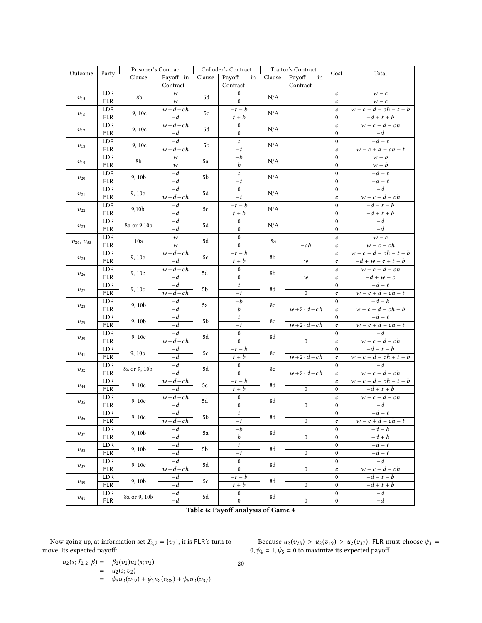<span id="page-19-0"></span>

|                                    |                   | Prisoner's Contract |                             | Colluder's Contract |                                    | Traitor's Contract |                   | Total                                |                            |
|------------------------------------|-------------------|---------------------|-----------------------------|---------------------|------------------------------------|--------------------|-------------------|--------------------------------------|----------------------------|
| Outcome                            | Party             | Clause              | Payoff in                   | Clause              | Payoff<br>Clause<br>in             |                    | Payoff<br>in      | Cost                                 |                            |
|                                    |                   |                     | Contract                    |                     | $\operatorname{Contract}$          |                    | Contract          |                                      |                            |
|                                    | LDR               | 8b                  | $\boldsymbol{w}$            | 5d                  | $\boldsymbol{0}$                   | N/A                |                   | $\boldsymbol{c}$                     | $w\,-\,c$                  |
| $v_{15}$                           | <b>FLR</b>        |                     | $\boldsymbol{w}$            |                     | $\Omega$                           |                    |                   | $\boldsymbol{c}$                     | $w - c$                    |
|                                    | LDR               | 9, 10c              | $w+d-ch$                    | 5c                  | $-t-b$                             | N/A                |                   | $\boldsymbol{c}$                     | $w-c+d-ch-t-b$             |
| $v_{16}$                           | <b>FLR</b>        |                     | $-d$                        |                     | $t + b$                            |                    |                   | $\boldsymbol{0}$                     | $-d+t+b$                   |
|                                    | LDR               | 9, 10c              | $w + d - ch$                | 5d                  | $\boldsymbol{0}$                   | N/A                |                   | $\boldsymbol{c}$                     | $w-c+d-ch$                 |
| $v_{17}$                           | FLR               |                     | $-d$                        |                     | $\mathbf{0}$                       |                    |                   | $\mathbf{0}$                         | $-d$                       |
|                                    | LDR               | 9, 10c              | $-d$                        | 5b                  | $\boldsymbol{t}$                   | N/A                |                   | $\boldsymbol{0}$                     | $-d+t$                     |
| $v_{18}$                           | <b>FLR</b>        |                     | $w+d-ch$                    |                     | $-t$                               |                    |                   | $\boldsymbol{c}$                     | $w-c+d-ch-t$               |
|                                    | LDR               | 8b                  | $\boldsymbol{w}$            | 5a                  | $-b$                               | N/A                |                   | $\mathbf{0}$                         | $w - b$                    |
| $v_{19}$                           | FLR               |                     | $\boldsymbol{w}$            |                     | $\overline{b}$                     |                    |                   | $\boldsymbol{0}$                     | $\overline{w+b}$           |
| $v_{20}$                           | LDR               | 9, 10b              | $-d$                        | 5b                  | $\boldsymbol{t}$                   | N/A                |                   | $\boldsymbol{0}$                     | $-d+t$                     |
|                                    | FLR               |                     | $-d$                        |                     | $-t$                               |                    |                   | $\overline{0}$                       | $-d-t$                     |
| $v_{21}$                           | LDR               | 9,10c               | $-d$                        | 5d                  | $\boldsymbol{0}$                   | N/A                |                   | $\boldsymbol{0}$                     | $-d$                       |
|                                    | <b>FLR</b>        |                     | $w+d-ch$                    |                     | $-t$                               |                    |                   | $\boldsymbol{c}$                     | $w-c+d-ch$                 |
| $v_{22}$                           | LDR               | 9,10b               | $-d$                        | 5c                  | $-t-b$                             | N/A                |                   | $\boldsymbol{0}$                     | $-d-t-b$                   |
|                                    | <b>FLR</b>        |                     | $-d$                        |                     | $t + b$                            |                    |                   | $\mathbf{0}$                         | $-d+t+b$                   |
| $v_{23}$                           | LDR               | 8a or 9,10b         | $-d$                        | 5d                  | $\boldsymbol{0}$                   | N/A                |                   | $\boldsymbol{0}$                     | $-d$                       |
|                                    | <b>FLR</b>        |                     | $-d$                        |                     | $\boldsymbol{0}$                   |                    |                   | $\boldsymbol{0}$                     | $-d$                       |
| $v_{24}, v_{33}$                   | LDR               | 10a                 | $\boldsymbol{w}$            | 5d                  | $\mathbf{0}$                       | 8a                 |                   | $\boldsymbol{c}$                     | $w - c$                    |
|                                    | <b>FLR</b>        |                     | $\boldsymbol{w}$            |                     | $\overline{0}$                     |                    | $-ch$             | $\boldsymbol{c}$                     | $w - c - ch$               |
| $v_{25}$                           | LDR               | 9, 10c              | $\overline{w+d}-ch$         | 5c                  | $-t-b$                             | 8b                 |                   | $\boldsymbol{c}$                     | $w-c+d-ch-t-b$             |
|                                    | <b>FLR</b>        |                     | $\overline{-d}$             |                     | $t + b$                            |                    | $\boldsymbol{w}$  | $\boldsymbol{c}$                     | $-d+w-c+t+b$               |
| $v_{26}$                           | LDR               | 9,10c               | $\overline{w+d-ch}$         | 5d                  | $\boldsymbol{0}$                   | 8b                 |                   | $\boldsymbol{c}$                     | $w-c+d-ch$                 |
|                                    | <b>FLR</b>        |                     | $-d$                        |                     | $\mathbf{0}$                       |                    | $\boldsymbol{w}$  | $\boldsymbol{c}$                     | $-d+w-c$                   |
| $v_{27}$                           | LDR               | 9, 10c              | $-d$                        | 5b                  | $\boldsymbol{t}$                   | 8d                 |                   | $\bf{0}$                             | $-d+t$                     |
|                                    | FLR               |                     | $w+d-ch$                    |                     | $-t$                               |                    | $\mathbf{0}$      | $\boldsymbol{c}$                     | $w-c+d-ch-t$               |
| $v_{28}$                           | LDR               | 9, 10b              | $-d$                        | 5a                  | $-b$                               | 8c                 |                   | $\bf{0}$                             | $-d-b$                     |
|                                    | <b>FLR</b>        |                     | $-d$                        |                     | $\overline{b}$                     |                    | $w+2\cdot d-ch$   | $\boldsymbol{c}$                     | $w-c+d-ch+b$               |
| $v_{29}$                           | LDR               | 9, 10b              | $-d$                        | 5b                  | $\boldsymbol{t}$                   | 8c                 |                   | $\mathbf{0}$                         | $-d+t$                     |
|                                    | <b>FLR</b>        |                     | $-d$                        |                     | $-t$                               |                    | $w+2\cdot d - ch$ | $\boldsymbol{c}$                     | $w-c+d-ch-t$               |
| $v_{30}$                           | LDR               | 9,10c               | $-d$                        | 5d                  | $\boldsymbol{0}$<br>$\overline{0}$ | 8d                 |                   | $\boldsymbol{0}$                     | $-d$                       |
|                                    | <b>FLR</b>        |                     | $w+d-ch$                    |                     |                                    |                    | $\mathbf{0}$      | $\boldsymbol{c}$                     | $w-c+d-ch$                 |
| $v_{31}$                           | LDR<br><b>FLR</b> | 9, 10b              | $-d$<br>$-d$                | 5c                  | $-t-b$                             | 8c                 | $w+2\cdot d-ch$   | $\boldsymbol{0}$                     | $-d-t-b$<br>$w-c+d-ch+t+b$ |
|                                    |                   |                     |                             |                     | $t + b$                            |                    |                   | $\boldsymbol{c}$                     | $-d$                       |
| $v_{32}$                           | LDR<br><b>FLR</b> | 8a or 9, 10b        | $-d$<br>$-d$                | 5d                  | $\overline{0}$<br>$\overline{0}$   | 8c                 | $w+2\cdot d - ch$ | $\boldsymbol{0}$                     | $w-c+d-ch$                 |
|                                    |                   |                     |                             |                     |                                    |                    |                   | $\boldsymbol{c}$                     |                            |
| $v_{34}$                           | LDR<br><b>FLR</b> | 9, 10c              | $\overline{w+d-c}h$<br>$-d$ | 5c                  | $-t-b$<br>$t + b$                  | 8d                 | $\Omega$          | $\boldsymbol{c}$<br>$\bf{0}$         | $w-c+d-ch-t-b$<br>$-d+t+b$ |
|                                    | LDR               |                     | $w + d - ch$                |                     | $\boldsymbol{0}$                   |                    |                   | $\boldsymbol{c}$                     | $w-c+d-ch$                 |
| $v_{35}$                           | <b>FLR</b>        | 9, 10c              | $-d$                        | 5d                  | $\boldsymbol{0}$                   | 8d                 | $\boldsymbol{0}$  | $\boldsymbol{0}$                     |                            |
|                                    |                   |                     | $-d$                        |                     |                                    |                    |                   |                                      | $-d$<br>$-d+t$             |
| $v_{36}$                           | LDR               | 9, 10c              | $\overline{w+d-c}h$         | $5\mathrm{b}$       | $\boldsymbol{t}$                   | 8d                 | $\bf{0}$          | $\boldsymbol{0}$                     | $w-c+d-ch-t$               |
|                                    | FLR               |                     |                             |                     | $-t$<br>$-b$                       |                    |                   | $\boldsymbol{c}$                     | $-d-b$                     |
| $v_{37}$                           | LDR<br><b>FLR</b> | 9, 10b              | $-d$<br>$-d$                | 5a                  | b                                  | 8d                 | $\bf{0}$          | $\boldsymbol{0}$<br>$\boldsymbol{0}$ | $-d+b$                     |
|                                    |                   |                     |                             |                     |                                    |                    |                   |                                      | $-d+t$                     |
| $v_{38}$                           | LDR<br><b>FLR</b> | 9, 10b              | $-d$<br>$-d$                | 5b                  | $\boldsymbol{t}$<br>$-t$           | 8d                 | $\mathbf{0}$      | $\boldsymbol{0}$<br>$\boldsymbol{0}$ | $-d-t$                     |
|                                    | LDR               |                     | $-d$                        |                     | $\bf{0}$                           |                    |                   |                                      | $-d$                       |
| $v_{39}$                           | <b>FLR</b>        | 9,10c               | $w + d - ch$                | 5d                  | $\overline{0}$                     | 8d                 | $\mathbf{0}$      | $\boldsymbol{0}$<br>$\boldsymbol{c}$ | $w-c+d-ch$                 |
|                                    | LDR               |                     | $-d$                        |                     | $-t-b$                             |                    |                   | $\boldsymbol{0}$                     | $-d-t-b$                   |
| $v_{40}$                           | <b>FLR</b>        | 9, 10b              | $-d$                        | 5c                  | $t + b$                            | 8d                 | $\bf{0}$          | $\boldsymbol{0}$                     | $-d+t+b$                   |
|                                    | LDR               |                     | $-d$                        |                     | $\bf{0}$                           |                    |                   | $\bf{0}$                             | $-d$                       |
| $v_{41}$                           | FLR               | 8a or 9, 10b        | $-d$                        | 5d                  | $\overline{0}$                     | 8d                 | $\mathbf{0}$      | $\boldsymbol{0}$                     | $-d$                       |
|                                    |                   |                     |                             |                     |                                    |                    |                   |                                      |                            |
| Table 6: Payoff analysis of Game 4 |                   |                     |                             |                     |                                    |                    |                   |                                      |                            |

Now going up, at information set  $\mathcal{I}_{2,2} = \{v_2\}$ , it is FLR's turn to move. Its expected payoff:

Because  $u_2(v_{28}) > u_2(v_{19}) > u_2(v_{37})$ , FLR must choose  $\psi_3 =$ <br> $u_1 = 1$ ,  $u_6 = 0$  to maximize its expected payoff  $0, \psi_4 = 1, \psi_5 = 0$  to maximize its expected payoff.

$$
u_2(s; I_{2,2}, \beta) = \beta_2(v_2)u_2(s; v_2)
$$
  
=  $u_2(s; v_2)$   
=  $\psi_2 u_2(v_{19}) + \psi_4 u_2(v_{28}) +$ 

20

 $\psi_3u_2 (v_{19}) + \psi_4u_2 (v_{28}) + \psi_5u_2 (v_{37})$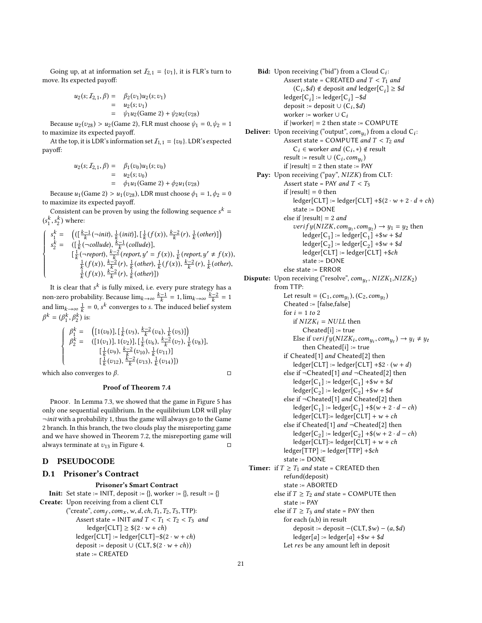Going up, at at information set  $\mathcal{I}_{2,1} = \{v_1\}$ , it is FLR's turn to move. Its expected payoff:

$$
u_2(s; I_{2,1}, \beta) = \beta_2(v_1)u_2(s; v_1)
$$
  
=  $u_2(s; v_1)$   
=  $\psi_1 u_2$ (Game 2) +  $\psi_2 u_2(v_{28})$ 

Because  $u_2(v_{28}) > u_2$  (Game 2), FLR must choose  $\psi_1 = 0, \psi_2 = 1$ to maximize its expected payoff.

At the top, it is LDR's information set  $I_{1,1} = \{v_0\}$ . LDR's expected payoff:

$$
u_2(s; I_{2,1}, \beta) = \beta_1(v_0)u_1(s; v_0)
$$
  
=  $u_2(s; v_0)$   
=  $\phi_1u_1(\text{Game } 2) + \phi_2u_1(v_{28})$ 

Because  $u_1$ (Game 2) >  $u_1(v_{28})$ , LDR must choose  $\phi_1 = 1, \phi_2 = 0$ to maximize its expected payoff.

Consistent can be proven by using the following sequence  $s^k =$  $(s_1^k, s_2^k)$  where:

$$
\left\{\begin{array}{lll} s_1^k=&\left((\left[\frac{k-1}{k}(\neg init),\frac{1}{k}(init)\right],\left[\frac{1}{k}(f(x)),\frac{k-2}{k}(r),\frac{1}{k}(other)\right]\right)\\ s_2^k=&\left(\left[\frac{1}{k}(\neg collude),\frac{k-1}{k}(collude)\right],\\ &\left[\frac{1}{k}(\neg report),\frac{k-2}{k}(report,y'=f(x)),\frac{1}{k}(report,y'\neq f(x)),\\ &\frac{1}{k}(f(x)),\frac{k-2}{k}(r),\frac{1}{k}(other),\frac{1}{k}(f(x)),\frac{k-2}{k}(r),\frac{1}{k}(other)\right)\end{array}\right.
$$

It is clear that  $s^k$  is fully mixed, i.e. every pure strategy has a non-zero probability. Because  $\lim_{k\to\infty} \frac{k-1}{k} = 1, \lim_{k\to\infty} \frac{k-2}{k} = 1$ and  $\lim_{k\to\infty}\frac{1}{k} = 0$ , s<sup>k</sup> converges to s. The induced belief system  $\beta^k = (\beta_1^k, \beta_2^k)$  is:

$$
\begin{cases}\n\beta_1^k = \left( [1(v_0)], \left[ \frac{1}{k}(v_3), \frac{k-2}{k}(v_4), \frac{1}{k}(v_5) \right] \right) \\
\beta_2^k = \left( [1(v_1)], 1(v_2)], \left[ \frac{1}{k}(v_6), \frac{k-2}{k}(v_7), \frac{1}{k}(v_8) \right], \\
\left[ \frac{1}{k}(v_9), \frac{k-2}{k}(v_{10}), \frac{1}{k}(v_{11}) \right] \\
\left[ \frac{k-2}{k}(v_{12}), \frac{k-2}{k}(v_{13}), \frac{1}{k}(v_{14}) \right]\n\end{cases}
$$

which also converges to  $\beta$ .  $\Box$ 

### Proof of Theorem [7.4](#page-10-2)

PROOF. In Lemma [7.3,](#page-10-1) we showed that the game in Figure [5](#page-10-0) has only one sequential equilibrium. In the equilibrium LDR will play  $\neg$ init with a probability 1, thus the game will always go to the Game 2 branch. In this branch, the two clouds play the misreporting game and we have showed in Theorem [7.2,](#page-9-3) the misreporting game will always terminate at  $v_{13}$  in Figure [4.](#page-9-0)  $\Box$ 

### <span id="page-20-0"></span>D PSEUDOCODE

#### D.1 Prisoner's Contract

#### Prisoner's Smart Contract

**Init:** Set state := INIT, deposit :=  $\{\}$ , worker :=  $\{\}$ , result :=  $\{\}$ Create: Upon receiving from a client CLT ("create",  $com_f, com_x, w, d, ch, T_1, T_2, T_3, TTP$ ):<br>Assert state – INIT and  $T < T_1 < T_2 < T_3$ Assert state = INIT and  $T < T_1 < T_2 < T_3$  and  $\text{ledge}[\text{CLT}] \geq $(2 \cdot w + ch)$  $\text{ledge}[\text{CLT}] := \text{ledge}[\text{CLT}] - $(2 \cdot w + ch)$$ deposit := deposit ∪ (CLT,  $$(2 \cdot w + ch))$ state := CREATED

**Bid:** Upon receiving ("bid") from a Cloud  $C_i$ :<br>Asset state – CBEATED and  $T < T$ . Assert state = CREATED and  $T < T_1$  and  $(C_i, \$d) \notin$  deposit and ledger $[C_i] \geq \$d$  $\text{ledge}[\text{C}_i] := \text{ledge}[\text{C}_i] - \$d$ deposit := deposit ∪ (C<sub>i</sub>, \$*d*)<br>worker := worker ⊥ C worker := worker  $\cup$  C<sub>i</sub> if  $|worker| = 2$  then state := COMPUTE **Deliver:** Upon receiving ("output",  $com_{y_i}$ ) from a cloud  $C_i$ : Assert state = COMPUTE and  $T < T_2$  and  $C_i \in$  worker *and*  $(C_i, *) \notin$  result<br>ult :- result  $\cup$   $(C_i, com_i)$ result := result ∪  $(C_i, comp_i)$ <br>if |result| = 2 then state := P if  $|result| = 2$  then state := PAY Pay: Upon receiving ("pay", NIZK) from CLT: Assert state = PAY and  $T < T_3$ if  $|result| = 0$  then  $\text{ledge}[\text{CLT}] := \text{ledge}[\text{CLT}] + $(2 \cdot w + 2 \cdot d + ch)$$ state := DONE else if  $|result| = 2$  and verif  $y(NIZK, comp_1, comp_2) \rightarrow y_1 = y_2$  then<br>ledger[C] : - ledger[C] + \$  $y +$  \$ d  $\text{ledger}[C_1] := \text{ledger}[C_1] + \$w + \$d$  $\textsf{ledge}[\textsf{C}_2] \coloneqq \textsf{ledge}[\textsf{C}_2] + \$w + \$d$ ledger[CLT] := ledger[CLT] +\$ch state := DONE else state := ERROR **Dispute:** Upon receiving ("resolve",  $com_{y_t}$ ,  $NIZK_1, NIZK_2$ ) from TTP: Let result =  $(C_1, com_{y_1}), (C_2, com_{y_2})$ <br>Cheated :- [false false] Cheated := [false,false] for  $i = 1$  to 2 if  $NIZK_i = NULL$  then Cheated[i] := true Else if  $verify(NIZK_i, comp_i, comp_t) \rightarrow y_i \neq y_t$ <br>then Cheated is  $i = true$ then Cheated[i] := true if Cheated[1] and Cheated[2] then  $\text{ledge}[\text{CLT}] := \text{ledge}[\text{CLT}] + $2 \cdot (w + d)$ else if  $\neg$ Cheated[1] and  $\neg$ Cheated[2] then  $\text{ledge}[\text{C}_1] := \text{ledge}[\text{C}_1] + \$w + \$d$  $\textsf{ledge}[\textsf{C}_2] \coloneqq \textsf{ledge}[\textsf{C}_2] + \$w + \$d$ else if ¬Cheated[1] and Cheated[2] then  $\text{ledge}[\text{C}_1] := \text{ledge}[\text{C}_1] + \$(w + 2 \cdot d - ch)$  $\text{ledge}[\text{CLT}]:=\text{ledge}[\text{CLT}]+\text{w}+\text{ch}$ else if Cheated[1] *and* ¬Cheated[2] then  $\text{ledge}[\text{C}_2] := \text{ledge}[\text{C}_2] + \$(w + 2 \cdot d - ch)$  $\text{ledge}[\text{CLT}]:=\text{ledge}[\text{CLT}]+\text{w}+\text{ch}$ ledger[TTP] := ledger[TTP] +\$ch state := DONE **Timer:** if  $T \geq T_1$  and state = CREATED then refund(deposit) state := ABORTED else if  $T \geq T_2$  and state = COMPUTE then state := PAY else if  $T \geq T_3$  and state = PAY then for each (a,b) in result deposit := deposit  $-(CLT, \$w) - (a, \$d)$  $\text{ledge}[a] := \text{ledge}[a] + \$w + \$d$ Let res be any amount left in deposit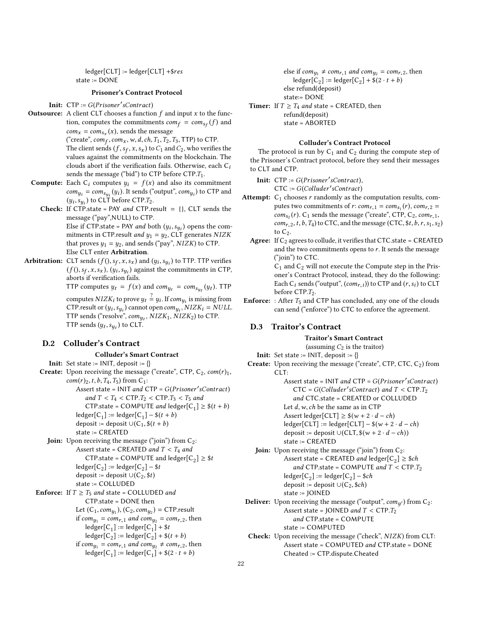ledger[CLT] := ledger[CLT] +\$res state := DONE

#### Prisoner's Contract Protocol

Init: CTP := G(Prisoner'sContract)

**Outsource:** A client CLT chooses a function  $f$  and input  $x$  to the function, computes the commitments  $com_f = com_{sf}(f)$  and  $com_x = com_{s_x}(x)$ , sends the message

("create",  $com_f, com_x, w, d, ch, T_1, T_2, T_3, TTP$ ) to CTP.<br>The client sends (f, s, x, s, ) to C, and C, who verifies The client sends  $(f, s_f, x, s_x)$  to  $C_1$  and  $C_2$ , who verifies the values against the commitments on the blockchain. The values against the commitments on the blockchain. The clouds abort if the verification fails. Otherwise, each  $C_i$ sends the message ("bid") to CTP before CTP. $T_1$ .

- **Compute:** Each  $C_i$  computes  $y_i = f(x)$  and also its commitment  $\text{com}_{y_i} = \text{com}_{s_{y_i}}(y_i)$ . It sends ("output",  $\text{com}_{y_i}$ ) to CTP and  $(u_i, s_i)$  to CLT before CTP T.  $(y_i, s_{y_i})$  to CLT before CTP.T<sub>2</sub>.<br>If CTP state – PAV and CTP re
	- **Check:** If CTP.state = PAY and CTP.result =  $\{\}$ , CLT sends the message ("pay",NULL) to CTP. Else if CTP state = PAY and both  $(y_i, s_{y_i})$  opens the com-<br>mitments in CTP result and  $y_i - y_0$ , CLT generates  $NIZV$ mitments in CTP.result *and*  $y_1 = y_2$ , CLT generates NIZK that proves  $y_1 = y_2$ , and sends ("pay", NIZK) to CTP. Else CLT enter Arbitration.
- **Arbitration:** CLT sends  $(f), s_f, x, s_x$  and  $(y_i, s_{y_i})$  to TTP. TTP verifies  $(f(), sf, x, s_x), (y_i, s_{y_i})$  against the commitments in CTP, aborts if verification fails.

TTP computes  $y_t = f(x)$  and  $com_{y_t} = com_{s_{y_t}}(y_t)$ . TTP

computes  $NIZK_i$  to prove  $y_t \stackrel{?}{=} y_i$ . If  $com_{y_i}$  is missing from CTP.result or  $(y_i, s_{y_i})$  cannot open  $com_{y_i}$ ,  $NIZK_i = NULL$ .<br>TTP sends ("resolve", com  $NIZK_i$ ,  $NIZK_i$ ) to CTP. TTP sends ("resolve",  $com_{y_t}$ ,  $NIZK_1$ ,  $NIZK_2$ ) to CTP.<br>TTP sends ( $w_t$ , e) to CLT. TTP sends  $(y_t, s_{y_t})$  to CLT.

### D.2 Colluder's Contract

#### Colluder's Smart Contract

**Init:** Set state :=  $INIT$ , deposit :=  $\{\}$ **Create:** Upon receiving the message ("create", CTP,  $C_2$ ,  $com(r)_1$ ,  $com(r)_2, t, b, T_4, T_5)$  from C<sub>1</sub>: Assert state =  $INT$  and  $CTP = G(Prisoner'sContract)$ and  $T < T_4 < CTP.T_2 < CTP.T_3 < T_5$  and CTP.state = COMPUTE and ledger[C<sub>1</sub>]  $\geq$  \$(t + b)  $\text{ledge}[\text{C}_1] := \text{ledge}[\text{C}_1] - \$(t + b)$ deposit := deposit ∪( $C_1$ , \$( $t + b$ ) state := CREATED **Join:** Upon receiving the message ("join") from  $C_2$ : Assert state = CREATED and  $T < T_4$  and CTP.state = COMPUTE and ledger[C<sub>2</sub>]  $\geq$  \$t  $\text{ledge}[\text{C}_2] := \text{ledge}[\text{C}_2] - \$t$ deposit := deposit ∪( $C_2$ , \$*t*) state := COLLUDED **Enforce:** If  $T \geq T_5$  and state = COLLUDED and CTP.state = DONE then Let  $(C_1, com_{y_1}), (C_2, com_{y_2})$  = CTP.result<br>if com = com + and com = com + th if  $com_{y_1} = com_{r,1}$  and  $com_{y_2} = com_{r,2}$ , then  $\text{ledge}[\text{C}_1] := \text{ledge}[\text{C}_1] + $t$  $\text{ledge}[\overline{C_2}] := \text{ledge}[\overline{C_2}] + \$(t + b)$ if  $com_{y_1} = com_{r,1}$  and  $com_{y_2} \ne com_{r,2}$ , then  $\text{ledge}[\text{C}_1] := \text{ledge}[\text{C}_1] + \$(2 \cdot t + b)$ 

else if  $com_{y_1} \neq com_{r,1}$  and  $com_{y_2} = com_{r,2}$ , then  $\text{ledge}[\widetilde{\mathsf{C}}_2] := \text{ledge}[\mathsf{C}_2] + \widetilde{\$} (2 \cdot t + b)$ else refund(deposit)

state:= DONE

**Timer:** If  $T \geq T_4$  and state = CREATED, then refund(deposit) state = ABORTED

#### Colluder's Contract Protocol

The protocol is run by  $C_1$  and  $C_2$  during the compute step of the Prisoner's Contract protocol, before they send their messages to CLT and CTP.

**Init:**  $CTP := G(Prisoner'sContract)$ , CTC := G(Colluder′ sContract)

- Attempt:  $C_1$  chooses r randomly as the computation results, computes two commitments of r:  $com_{r,1} = com_{s_1}(r), com_{r,2} =$  $\frac{com_{s_2}(r)}{com_{s_2}(r)}$ . C<sub>1</sub> sends the message ("create", CTP, C<sub>2</sub>,  $com_{r,1}$ ,  $com_{r,2}, t, b, T_4$ ) to CTC, and the message (CTC, \$t, b, r, s<sub>1</sub>, s<sub>2</sub>) to  $C_2$ .
	- **Agree:** If  $C_2$  agrees to collude, it verifies that CTC.state = CREATED and the two commitments opens to  $r$ . It sends the message ("join") to CTC.

 $C_1$  and  $C_2$  will not execute the Compute step in the Prisoner's Contract Protocol, instead, they do the following: Each  $C_i$  sends ("output",  $(com_{r,i})$ ) to  $\text{CTP}$  and  $(r, s_i)$  to  $\text{CLT}$ before CTP. $T_2$ .

**Enforce:** : After  $T_5$  and CTP has concluded, any one of the clouds can send ("enforce") to CTC to enforce the agreement.

### D.3 Traitor's Contract

# Traitor's Smart Contract

(assuming  $C_2$  is the traitor)

- **Init:** Set state := INIT, deposit :=  $\{\}$
- Create: Upon receiving the message ("create", CTP, CTC, C<sub>2</sub>) from CLT:
	- Assert state =  $INT$  and  $CTP = G(Prisoner'sContract)$  $CTC = G(Colluder'sContract)$  and  $T < CTP.T_2$ <br>and  $CTC$  state –  $CPE$  ATED or  $COL$  LUDED. and CTC.state = CREATED or COLLUDED Let  $d, w, ch$  be the same as in CTP Assert ledger[CLT]  $\geq$  \$(w + 2 · d – ch)

 $\text{ledge}[\text{CLT}] := \text{ledge}[\text{CLT}] - \$(w + 2 \cdot d - ch)$ deposit := deposit ∪(CLT,  $$(w + 2 \cdot d - ch))$ 

state := CREATED **Join:** Upon receiving the message ("join") from  $C_2$ : Assert state = CREATED and ledger[C<sub>2</sub>]  $\ge$  \$ch

- and CTP.state = COMPUTE and  $T <$  CTP. $T_2$
- $\text{ledge}[\text{C}_2] := \text{ledge}[\text{C}_2] \$ch$ deposit := deposit  $\cup$ (C<sub>2</sub>, \$*ch*)
- state := JOINED
- **Deliver:** Upon receiving the message ("output",  $com_{y'}$ ) from C<sub>2</sub>:<br>Assert state = IQINED and  $T \leq CTPT$ . Assert state = JOINED and  $T < CTP.T_2$ and CTP.state = COMPUTE

state := COMPUTED

Check: Upon receiving the message ("check", NIZK) from CLT: Assert state = COMPUTED and CTP.state = DONE Cheated := CTP.dispute.Cheated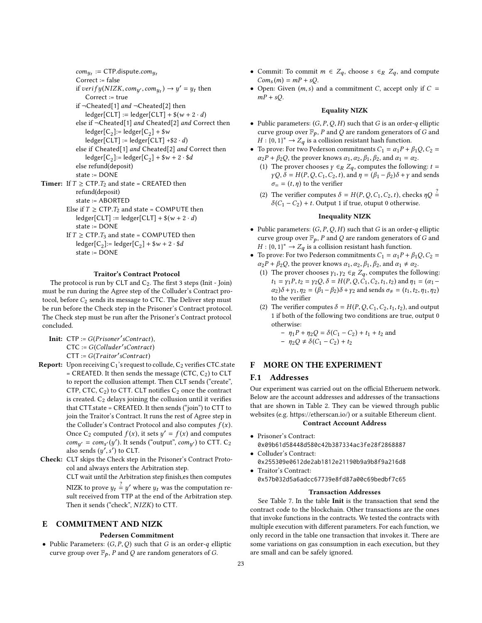$com_{y_t} := CTP$ .dispute.com<sub>yt</sub><br>Correct :- false Correct := false if  $verify(NIZK, comp', comp_t) \rightarrow y' = y_t$  then<br>Correct :- true Correct := true if ¬Cheated[1] and ¬Cheated[2] then  $\text{ledge}[\text{CLT}] := \text{ledge}[\text{CLT}] + \$(w + 2 \cdot d)$ else if ¬Cheated[1] and Cheated[2] and Correct then  $\text{ledger}[C_2] := \text{ledger}[C_2] + \$w$  $\text{ledge}[\text{CLT}] := \text{ledge}[\text{CLT}] + $2 \cdot d$ else if Cheated[1] and Cheated[2] and Correct then  $\text{ledge}[\text{C}_2] := \text{ledge}[\text{C}_2] + \$w + 2 \cdot \$d$ else refund(deposit) state := DONE **Timer:** If  $T \geq CTP.T_2$  and state = CREATED then refund(deposit) state := ABORTED

- Else if  $T \geq CTP.T_2$  and state = COMPUTE then  $\text{ledge}[\text{CLT}] := \text{ledge}[\text{CLT}] + \$(w + 2 \cdot d)$ state := DONE
- If  $T \geq CTP.T_3$  and state = COMPUTED then  $\text{ledge}[\text{C}_2] := \text{ledge}[\text{C}_2] + \$w + 2 \cdot \$d$ state := DONE

### Traitor's Contract Protocol

The protocol is run by CLT and  $C_2$ . The first 3 steps (Init - Join) must be run during the Agree step of the Colluder's Contract protocol, before  $C_2$  sends its message to CTC. The Deliver step must be run before the Check step in the Prisoner's Contract protocol. The Check step must be run after the Prisoner's Contract protocol concluded.

- **Init:**  $CTP := G(Prisoner'sContract)$ , CTC := G(Colluder′ sContract)  $CTT := G(Traitor'sContract)$
- **Report:** Upon receiving  $C_1$ 's request to collude,  $C_2$  verifies CTC.state = CREATED. It then sends the message (CTC,  $C_2$ ) to CLT to report the collusion attempt. Then CLT sends ("create", CTP, CTC,  $C_2$ ) to CTT. CLT notifies  $C_2$  once the contract is created.  $C_2$  delays joining the collusion until it verifies that CTT.state = CREATED. It then sends ("join") to CTT to join the Traitor's Contract. It runs the rest of Agree step in the Colluder's Contract Protocol and also computes  $f(x)$ . Once C<sub>2</sub> computed  $f(x)$ , it sets  $y' = f(x)$  and computes  $com_{y'} = com_{s'}(y')$ . It sends ("output",  $com_{y'}$ ) to CTT. C<sub>2</sub><br>also sends (*u' s'*) to CLT also sends  $(y', s')$  to CLT.
- Check: CLT skips the Check step in the Prisoner's Contract Protocol and always enters the Arbitration step.

CLT wait until the Arbitration step finish,es then computes NIZK to prove  $y_t \stackrel{?}{=} y'$  where  $y_t$  was the computation re-<br>sult received from TTP at the end of the Arbitration step.

sult received from TTP at the end of the Arbitration step. Then it sends ("check", NIZK) to CTT.

# <span id="page-22-0"></span>E COMMITMENT AND NIZK

### Pedersen Commitment

• Public Parameters:  $(G, P, Q)$  such that G is an order-q elliptic curve group over  $\mathbb{F}_p$ , P and Q are random generators of G.

- Commit: To commit  $m \in Z_q$ , choose  $s \in_R Z_q$ , and compute  $Com<sub>s</sub>(m) = mP + sQ.$
- Open: Given  $(m, s)$  and a commitment C, accept only if  $C =$  $mP + sQ$ .

#### Equality NIZK

- Public parameters:  $(G, P, Q, H)$  such that G is an order-q elliptic curve group over  $\mathbb{F}_p$ , P and Q are random generators of G and  $H : [0, 1]^* \rightarrow Z$  is a collision registent bash function.  $H : \{0,1\}^* \to Z_q$  is a collision resistant hash function.<br>To prove: For two Pederson commitments  $C_t = \alpha t P + C$
- To prove: For two Pederson commitments  $C_1 = \alpha_1 P + \beta_1 Q$ ,  $C_2 =$  $\alpha_2 P + \beta_2 Q$ , the prover knows  $\alpha_1, \alpha_2, \beta_1, \beta_2$ , and  $\alpha_1 = \alpha_2$ .
	- (1) The prover chooses  $\gamma \in_R Z_q$ , computes the following:  $t =$  $\gamma Q$ ,  $\delta = H(P, Q, C_1, C_2, t)$ , and  $\eta = (\beta_1 - \beta_2)\delta + \gamma$  and sends  $\sigma_{\equiv} = (t, \eta)$  to the verifier
	- (2) The verifier computes  $\delta = H(P, Q, C_1, C_2, t)$ , checks  $\eta Q \stackrel{?}{=} \delta(C_1 C_2) + t$ . Output 1 if true, otuput 0 otherwise.  $\delta(C_1 - C_2) + t$ . Output 1 if true, otuput 0 otherwise.

#### Inequality NIZK

- Public parameters:  $(G, P, Q, H)$  such that G is an order-q elliptic curve group over  $\mathbb{F}_p$ , P and Q are random generators of G and  $H \cdot (0, 1)^* \rightarrow Z$  is a collision registent bash function.  $H : \{0,1\}^* \to Z_q$  is a collision resistant hash function.<br>To prove: For two Pederson commitments  $C_1 = \alpha R +$
- To prove: For two Pederson commitments  $C_1 = \alpha_1 P + \beta_1 Q$ ,  $C_2 =$  $\alpha_2 P + \beta_2 Q$ , the prover knows  $\alpha_1, \alpha_2, \beta_1, \beta_2$ , and  $\alpha_1 \neq \alpha_2$ .
	- (1) The prover chooses  $\gamma_1, \gamma_2 \in_R Z_q$ , computes the following:  $t_1 = \gamma_1 P, t_2 = \gamma_2 Q, \delta = H(P, Q, C_1, C_2, t_1, t_2)$  and  $\eta_1 = (\alpha_1 - \alpha_2)$  $\alpha_2$ ) $\delta$  +  $\gamma_1$ ,  $\eta_2$  =  $(\beta_1 - \beta_2)\delta$  +  $\gamma_2$  and sends  $\sigma_{\neq}$  =  $(t_1, t_2, \eta_1, \eta_2)$ to the verifier
	- (2) The verifier computes  $\delta = H(P, Q, C_1, C_2, t_1, t_2)$ , and output 1 if both of the following two conditions are true, output 0 otherwise:

- 
$$
\eta_1 P + \eta_2 Q = \delta(C_1 - C_2) + t_1 + t_2
$$
 and  
-  $\eta_2 Q \neq \delta(C_1 - C_2) + t_2$ 

### <span id="page-22-1"></span>F MORE ON THE EXPERIMENT

### F.1 Addresses

Our experiment was carried out on the official Etheruem network. Below are the account addresses and addresses of the transactions that are shown in Table [2.](#page-11-0) They can be viewed through public websites (e.g. [https://etherscan.io/\)](https://etherscan.io/) or a suitable Ethereum client.

### Contract Account Address

- Prisoner's Contract: 0x09b61d58448d580c42b387334ac3fe28f2868887
- Colluder's Contract: 0x255309e0612de2ab1812e21190b9a9b8f9a216d8
- Traitor's Contract: 0x57b032d5a6adcc67739e8fd87a00c69bedbf7c65

#### Transaction Addresses

See Table [7.](#page-23-1) In the table Init is the transaction that send the contract code to the blockchain. Other transactions are the ones that invoke functions in the contracts. We tested the contracts with multiple execution with different parameters. For each function, we only record in the table one transaction that invokes it. There are some variations on gas consumption in each execution, but they are small and can be safely ignored.